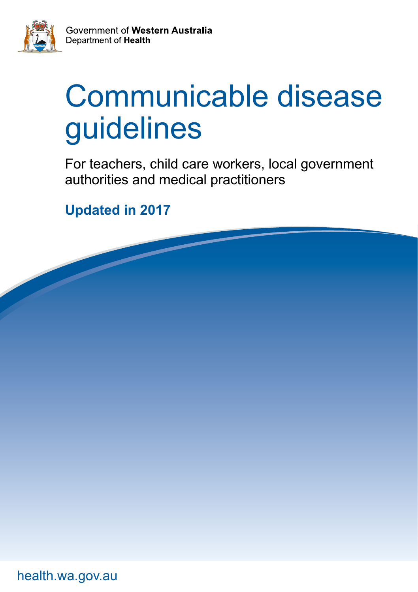

# Communicable disease guidelines

For teachers, child care workers, local government authorities and medical practitioners

**Updated in 2017**

[health.wa.gov.au](http://www.health.wa.gov.au)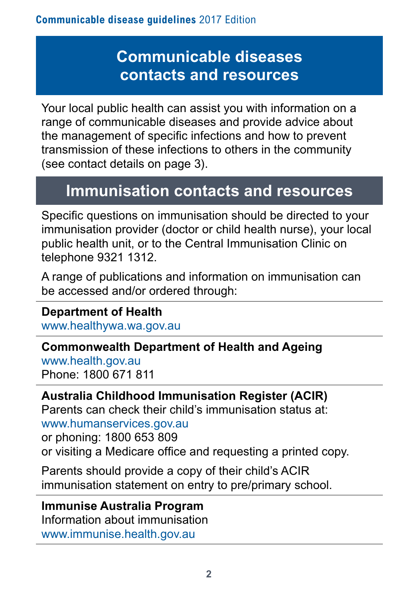# **Communicable diseases contacts and resources**

Your local public health can assist you with information on a range of communicable diseases and provide advice about the management of specific infections and how to prevent transmission of these infections to others in the community (see contact details on page 3).

# **Immunisation contacts and resources**

Specific questions on immunisation should be directed to your immunisation provider (doctor or child health nurse), your local public health unit, or to the Central Immunisation Clinic on telephone 9321 1312.

A range of publications and information on immunisation can be accessed and/or ordered through:

**Department of Health**  [www.healthywa.wa.gov.au](http://www.healthywa.wa.gov.au)

**Commonwealth Department of Health and Ageing**  [www.health.gov.au](http://www.health.gov.au) Phone: 1800 671 811

# **Australia Childhood Immunisation Register (ACIR)**

Parents can check their child's immunisation status at:

[www.humanservices.gov.au](http://www.humanservices.gov.au)

or phoning: 1800 653 809

or visiting a Medicare office and requesting a printed copy.

Parents should provide a copy of their child's ACIR immunisation statement on entry to pre/primary school.

**Immunise Australia Program**  Information about immunisation [www.immunise.health.gov.au](http://www.immunise.health.gov.au)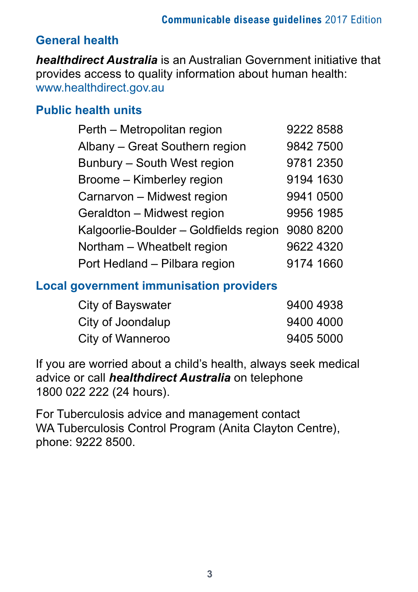# **General health**

*healthdirect Australia* is an Australian Government initiative that provides access to quality information about human health: [www.healthdirect.gov.au](http://www.healthdirect.gov.au)

### **Public health units**

| Perth - Metropolitan region            | 9222 8588 |
|----------------------------------------|-----------|
| Albany - Great Southern region         | 9842 7500 |
| Bunbury - South West region            | 9781 2350 |
| Broome - Kimberley region              | 9194 1630 |
| Carnarvon - Midwest region             | 9941 0500 |
| Geraldton - Midwest region             | 9956 1985 |
| Kalgoorlie-Boulder - Goldfields region | 9080 8200 |
| Northam - Wheatbelt region             | 9622 4320 |
| Port Hedland - Pilbara region          | 9174 1660 |

#### **Local government immunisation providers**

| City of Bayswater | 9400 4938 |
|-------------------|-----------|
| City of Joondalup | 9400 4000 |
| City of Wanneroo  | 9405 5000 |

If you are worried about a child's health, always seek medical advice or call *healthdirect Australia* on telephone 1800 022 222 (24 hours).

For Tuberculosis advice and management contact WA Tuberculosis Control Program (Anita Clayton Centre), phone: 9222 8500.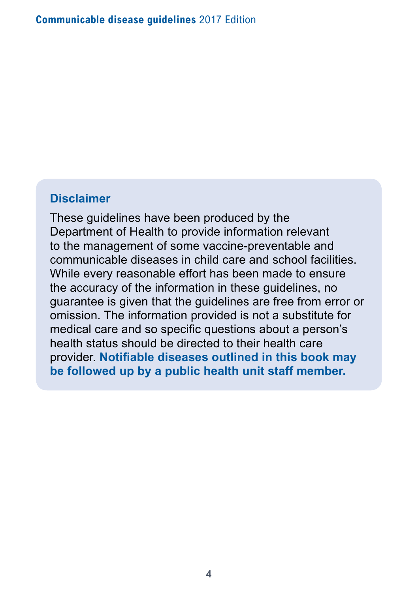#### **Disclaimer**

These guidelines have been produced by the Department of Health to provide information relevant to the management of some vaccine-preventable and communicable diseases in child care and school facilities. While every reasonable effort has been made to ensure the accuracy of the information in these guidelines, no guarantee is given that the guidelines are free from error or omission. The information provided is not a substitute for medical care and so specific questions about a person's health status should be directed to their health care provider. **Notifiable diseases outlined in this book may be followed up by a public health unit staff member.**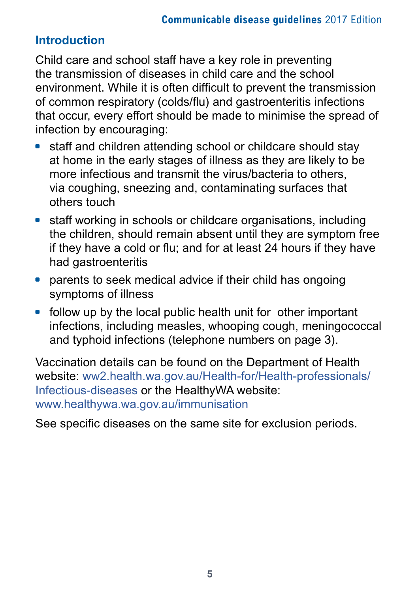# **Introduction**

Child care and school staff have a key role in preventing the transmission of diseases in child care and the school environment. While it is often difficult to prevent the transmission of common respiratory (colds/flu) and gastroenteritis infections that occur, every effort should be made to minimise the spread of infection by encouraging:

- staff and children attending school or childcare should stay at home in the early stages of illness as they are likely to be more infectious and transmit the virus/bacteria to others, via coughing, sneezing and, contaminating surfaces that others touch
- staff working in schools or childcare organisations, including the children, should remain absent until they are symptom free if they have a cold or flu; and for at least 24 hours if they have had gastroenteritis
- parents to seek medical advice if their child has ongoing symptoms of illness
- follow up by the local public health unit for other important infections, including measles, whooping cough, meningococcal and typhoid infections (telephone numbers on page 3).

Vaccination details can be found on the Department of Health website: [ww2.health.wa.gov.au/Health-for/Health-professionals/](http://ww2.health.wa.gov.au/Health-for/Health-professionals/Infectious-diseases) [Infectious-diseases](http://ww2.health.wa.gov.au/Health-for/Health-professionals/Infectious-diseases) or the HealthyWA website: [www.healthywa.wa.gov.au/immunisation](http://www.healthywa.wa.gov.au/immunisation)

See specific diseases on the same site for exclusion periods.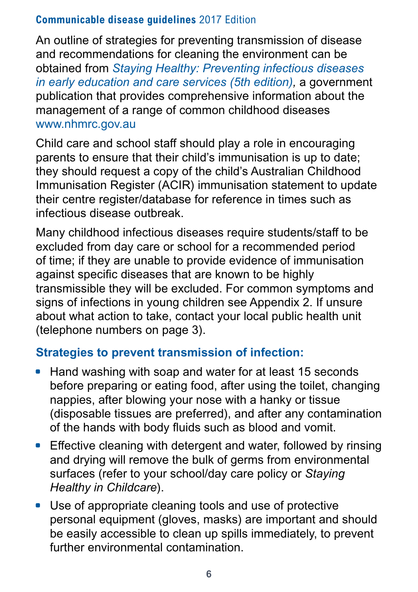An outline of strategies for preventing transmission of disease and recommendations for cleaning the environment can be obtained from *[Staying Healthy: Preventing infectious diseases](www.nhmrc.gov.au/guidelines-publications/ch55)  [in early education and care services \(5th edition\)](www.nhmrc.gov.au/guidelines-publications/ch55),* a government publication that provides comprehensive information about the management of a range of common childhood diseases [www.nhmrc.gov.au](www.nhmrc.gov.au/publications/synopses/ch43syn.htm)

Child care and school staff should play a role in encouraging parents to ensure that their child's immunisation is up to date; they should request a copy of the child's Australian Childhood Immunisation Register (ACIR) immunisation statement to update their centre register/database for reference in times such as infectious disease outbreak.

Many childhood infectious diseases require students/staff to be excluded from day care or school for a recommended period of time; if they are unable to provide evidence of immunisation against specific diseases that are known to be highly transmissible they will be excluded. For common symptoms and signs of infections in young children see Appendix 2. If unsure about what action to take, contact your local public health unit (telephone numbers on page 3).

### **Strategies to prevent transmission of infection:**

- Hand washing with soap and water for at least 15 seconds before preparing or eating food, after using the toilet, changing nappies, after blowing your nose with a hanky or tissue (disposable tissues are preferred), and after any contamination of the hands with body fluids such as blood and vomit.
- Effective cleaning with detergent and water, followed by rinsing and drying will remove the bulk of germs from environmental surfaces (refer to your school/day care policy or *Staying Healthy in Childcare*).
- Use of appropriate cleaning tools and use of protective personal equipment (gloves, masks) are important and should be easily accessible to clean up spills immediately, to prevent further environmental contamination.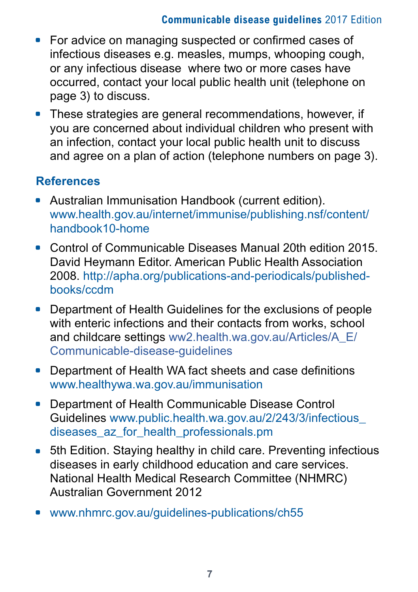- For advice on managing suspected or confirmed cases of infectious diseases e.g. measles, mumps, whooping cough, or any infectious disease where two or more cases have occurred, contact your local public health unit (telephone on page 3) to discuss.
- These strategies are general recommendations, however, if you are concerned about individual children who present with an infection, contact your local public health unit to discuss and agree on a plan of action (telephone numbers on page 3).

### **References**

- Australian Immunisation Handbook (current edition). [www.health.gov.au/internet/immunise/publishing.nsf/content/](http://www.health.gov.au/internet/immunise/publishing.nsf/content/handbook10-home) [handbook10-home](http://www.health.gov.au/internet/immunise/publishing.nsf/content/handbook10-home)
- Control of Communicable Diseases Manual 20th edition 2015. David Heymann Editor. American Public Health Association 2008. [http://apha.org/publications-and-periodicals/published](http://apha.org/publications-and-periodicals/published-books/ccdm)[books/ccdm](http://apha.org/publications-and-periodicals/published-books/ccdm)
- Department of Health Guidelines for the exclusions of people with enteric infections and their contacts from works, school and childcare settings [ww2.health.wa.gov.au/Articles/A\\_E/](http://ww2.health.wa.gov.au/Articles/A_E/Communicable-disease-guidelines) [Communicable-disease-guidelines](http://ww2.health.wa.gov.au/Articles/A_E/Communicable-disease-guidelines)
- Department of Health WA fact sheets and case definitions [www.healthywa.wa.gov.au/immunisation](http://www.healthywa.wa.gov.au/immunisation)
- \* Department of Health Communicable Disease Control Guidelines [www.public.health.wa.gov.au/2/243/3/infectious\\_](http://www.public.health.wa.gov.au/2/243/3/infectious_diseases_az_for_health_professionals.pm) diseases az for health professionals.pm
- 5th Edition. Staying healthy in child care. Preventing infectious diseases in early childhood education and care services. National Health Medical Research Committee (NHMRC) Australian Government 2012
- [www.nhmrc.gov.au/guidelines-publications/ch55](http://www.nhmrc.gov.au/guidelines-publications/ch55)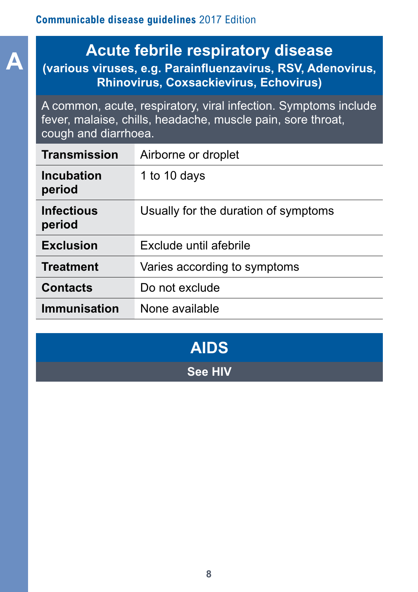# **A Acute febrile respiratory disease (various viruses, e.g. Parainfluenzavirus, RSV, Adenovirus, Rhinovirus, Coxsackievirus, Echovirus)**

A common, acute, respiratory, viral infection. Symptoms include fever, malaise, chills, headache, muscle pain, sore throat, cough and diarrhoea.

| Transmission                | Airborne or droplet                  |
|-----------------------------|--------------------------------------|
| <b>Incubation</b><br>period | 1 to 10 days                         |
| <b>Infectious</b><br>period | Usually for the duration of symptoms |
| <b>Exclusion</b>            | Exclude until afebrile               |
| <b>Treatment</b>            | Varies according to symptoms         |
| <b>Contacts</b>             | Do not exclude                       |
| Immunisation                | None available                       |

| <b>AIDS</b>    |  |
|----------------|--|
| <b>See HIV</b> |  |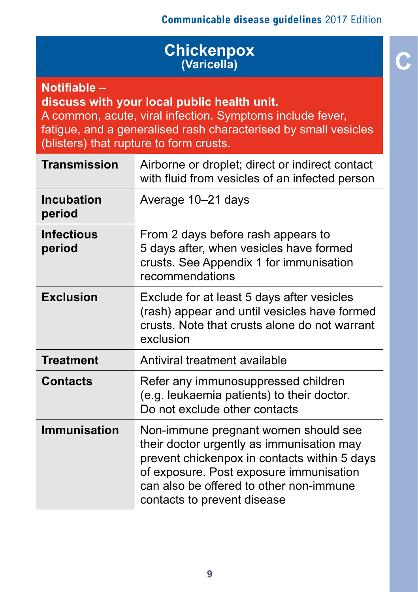# **C Chickenpox (Varicella)**

**Notifiable –** 

**discuss with your local public health unit.**

A common, acute, viral infection. Symptoms include fever, fatigue, and a generalised rash characterised by small vesicles (blisters) that rupture to form crusts.

| <b>Transmission</b>         | Airborne or droplet; direct or indirect contact<br>with fluid from vesicles of an infected person                                                                                                                                                      |
|-----------------------------|--------------------------------------------------------------------------------------------------------------------------------------------------------------------------------------------------------------------------------------------------------|
| <b>Incubation</b><br>period | Average 10-21 days                                                                                                                                                                                                                                     |
| <b>Infectious</b><br>period | From 2 days before rash appears to<br>5 days after, when vesicles have formed<br>crusts. See Appendix 1 for immunisation<br>recommendations                                                                                                            |
| <b>Exclusion</b>            | Exclude for at least 5 days after vesicles<br>(rash) appear and until vesicles have formed<br>crusts. Note that crusts alone do not warrant<br>exclusion                                                                                               |
| <b>Treatment</b>            | Antiviral treatment available                                                                                                                                                                                                                          |
| Contacts                    | Refer any immunosuppressed children<br>(e.g. leukaemia patients) to their doctor.<br>Do not exclude other contacts                                                                                                                                     |
| <b>Immunisation</b>         | Non-immune pregnant women should see<br>their doctor urgently as immunisation may<br>prevent chickenpox in contacts within 5 days<br>of exposure. Post exposure immunisation<br>can also be offered to other non-immune<br>contacts to prevent disease |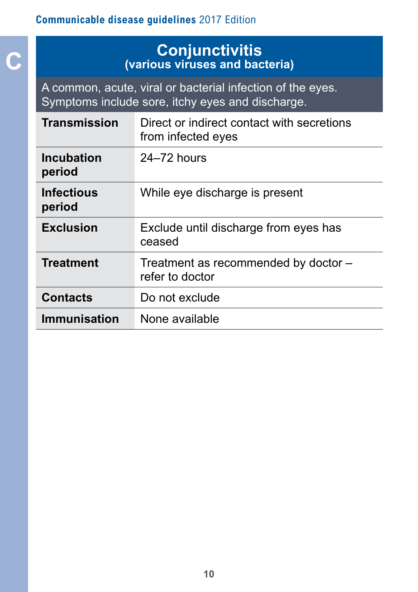**C**

### **Conjunctivitis (various viruses and bacteria)**

A common, acute, viral or bacterial infection of the eyes. Symptoms include sore, itchy eyes and discharge.

| Transmission                | Direct or indirect contact with secretions<br>from infected eyes |
|-----------------------------|------------------------------------------------------------------|
| <b>Incubation</b><br>period | $24-72$ hours                                                    |
| <b>Infectious</b><br>period | While eye discharge is present                                   |
| <b>Exclusion</b>            | Exclude until discharge from eyes has<br>ceased                  |
| <b>Treatment</b>            | Treatment as recommended by doctor -<br>refer to doctor          |
| <b>Contacts</b>             | Do not exclude                                                   |
| <b>Immunisation</b>         | None available                                                   |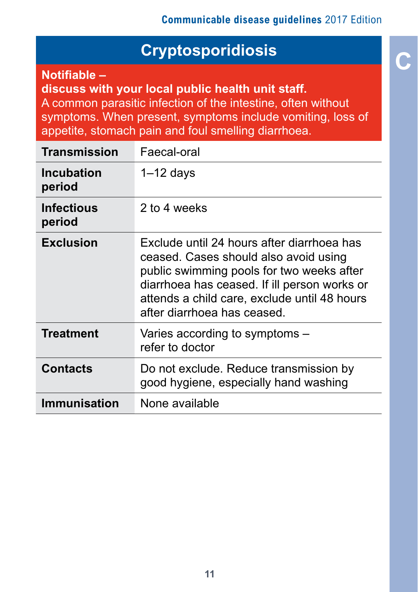# **C Cryptosporidiosis**

**Notifiable –** 

**discuss with your local public health unit staff.** A common parasitic infection of the intestine, often without

symptoms. When present, symptoms include vomiting, loss of appetite, stomach pain and foul smelling diarrhoea.

| Transmission         | Faecal-oral                                                                                                                                                                                                                                                     |
|----------------------|-----------------------------------------------------------------------------------------------------------------------------------------------------------------------------------------------------------------------------------------------------------------|
| Incubation<br>period | $1 - 12$ days                                                                                                                                                                                                                                                   |
| Infectious<br>period | 2 to 4 weeks                                                                                                                                                                                                                                                    |
| <b>Exclusion</b>     | Exclude until 24 hours after diarrhoea has<br>ceased. Cases should also avoid using<br>public swimming pools for two weeks after<br>diarrhoea has ceased. If ill person works or<br>attends a child care, exclude until 48 hours<br>after diarrhoea has ceased. |
| <b>Treatment</b>     | Varies according to symptoms –<br>refer to doctor                                                                                                                                                                                                               |
| <b>Contacts</b>      | Do not exclude. Reduce transmission by<br>good hygiene, especially hand washing                                                                                                                                                                                 |
| Immunisation         | None available                                                                                                                                                                                                                                                  |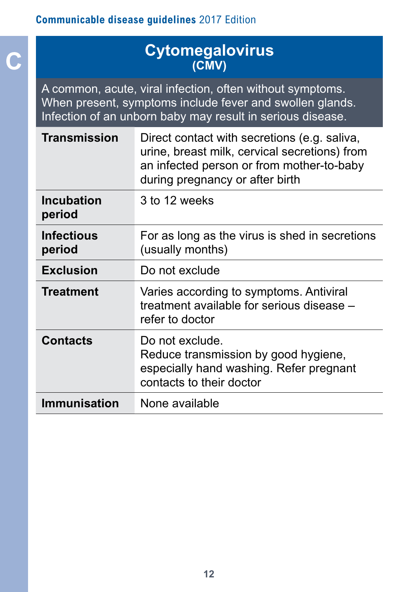# **C Cytomegalovirus (CMV)**

A common, acute, viral infection, often without symptoms. When present, symptoms include fever and swollen glands. Infection of an unborn baby may result in serious disease.

| <b>Transmission</b>         | Direct contact with secretions (e.g. saliva,<br>urine, breast milk, cervical secretions) from<br>an infected person or from mother-to-baby<br>during pregnancy or after birth |
|-----------------------------|-------------------------------------------------------------------------------------------------------------------------------------------------------------------------------|
| <b>Incubation</b><br>period | 3 to 12 weeks                                                                                                                                                                 |
| <b>Infectious</b><br>period | For as long as the virus is shed in secretions<br>(usually months)                                                                                                            |
| <b>Exclusion</b>            | Do not exclude                                                                                                                                                                |
| <b>Treatment</b>            | Varies according to symptoms. Antiviral<br>treatment available for serious disease -<br>refer to doctor                                                                       |
| <b>Contacts</b>             | Do not exclude.<br>Reduce transmission by good hygiene,<br>especially hand washing. Refer pregnant<br>contacts to their doctor                                                |
| <b>Immunisation</b>         | None available                                                                                                                                                                |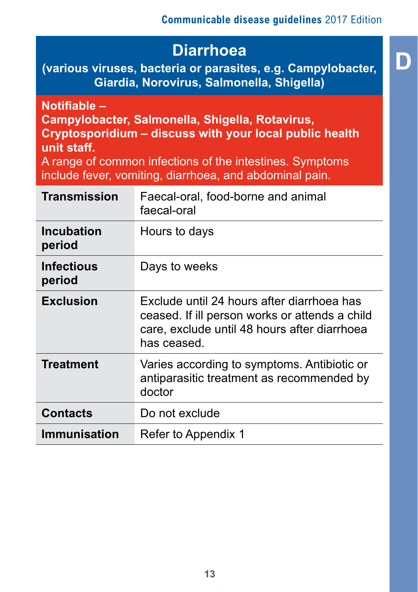**D Diarrhoea (various viruses, bacteria or parasites, e.g. Campylobacter, Giardia, Norovirus, Salmonella, Shigella)** 

**Notifiable – Campylobacter, Salmonella, Shigella, Rotavirus, Cryptosporidium – discuss with your local public health unit staff.**

A range of common infections of the intestines. Symptoms include fever, vomiting, diarrhoea, and abdominal pain.

| <b>Transmission</b>         | Faecal-oral, food-borne and animal<br>faecal-oral                                                                                                           |
|-----------------------------|-------------------------------------------------------------------------------------------------------------------------------------------------------------|
| <b>Incubation</b><br>period | Hours to days                                                                                                                                               |
| <b>Infectious</b><br>period | Days to weeks                                                                                                                                               |
| <b>Exclusion</b>            | Exclude until 24 hours after diarrhoea has<br>ceased. If ill person works or attends a child<br>care, exclude until 48 hours after diarrhoea<br>has ceased. |
| <b>Treatment</b>            | Varies according to symptoms. Antibiotic or<br>antiparasitic treatment as recommended by<br>doctor                                                          |
| <b>Contacts</b>             | Do not exclude                                                                                                                                              |
| <b>Immunisation</b>         | Refer to Appendix 1                                                                                                                                         |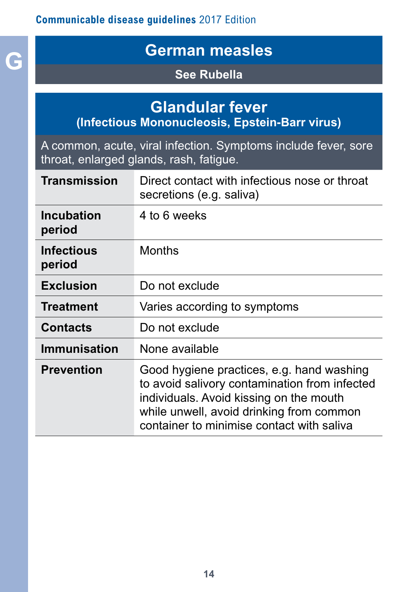# **G German measles**

### **See Rubella**

# **Glandular fever**

**(Infectious Mononucleosis, Epstein-Barr virus)**

A common, acute, viral infection. Symptoms include fever, sore throat, enlarged glands, rash, fatigue.

| Transmission                | Direct contact with infectious nose or throat<br>secretions (e.g. saliva)                                                                                                                                                      |
|-----------------------------|--------------------------------------------------------------------------------------------------------------------------------------------------------------------------------------------------------------------------------|
| <b>Incubation</b><br>period | 4 to 6 weeks                                                                                                                                                                                                                   |
| <b>Infectious</b><br>period | Months                                                                                                                                                                                                                         |
| <b>Exclusion</b>            | Do not exclude                                                                                                                                                                                                                 |
| <b>Treatment</b>            | Varies according to symptoms                                                                                                                                                                                                   |
| <b>Contacts</b>             | Do not exclude                                                                                                                                                                                                                 |
| <b>Immunisation</b>         | None available                                                                                                                                                                                                                 |
| <b>Prevention</b>           | Good hygiene practices, e.g. hand washing<br>to avoid salivory contamination from infected<br>individuals. Avoid kissing on the mouth<br>while unwell, avoid drinking from common<br>container to minimise contact with saliva |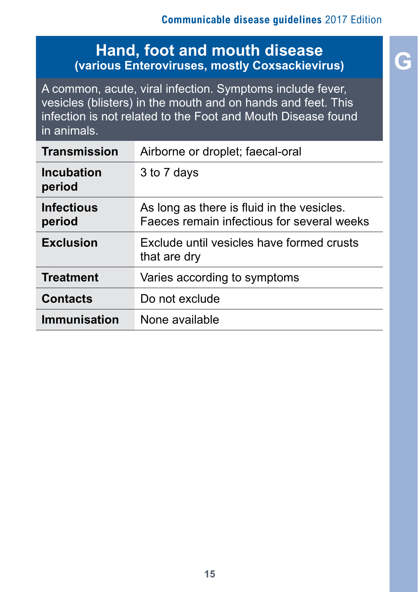## **Hand, foot and mouth disease (various Enteroviruses, mostly Coxsackievirus)**

A common, acute, viral infection. Symptoms include fever, vesicles (blisters) in the mouth and on hands and feet. This infection is not related to the Foot and Mouth Disease found in animals.

| Transmission                | Airborne or droplet; faecal-oral                                                         |
|-----------------------------|------------------------------------------------------------------------------------------|
| <b>Incubation</b><br>period | 3 to 7 days                                                                              |
| <b>Infectious</b><br>period | As long as there is fluid in the vesicles.<br>Faeces remain infectious for several weeks |
| <b>Exclusion</b>            | Exclude until vesicles have formed crusts<br>that are dry                                |
| <b>Treatment</b>            | Varies according to symptoms                                                             |
| <b>Contacts</b>             | Do not exclude                                                                           |
| <b>Immunisation</b>         | None available                                                                           |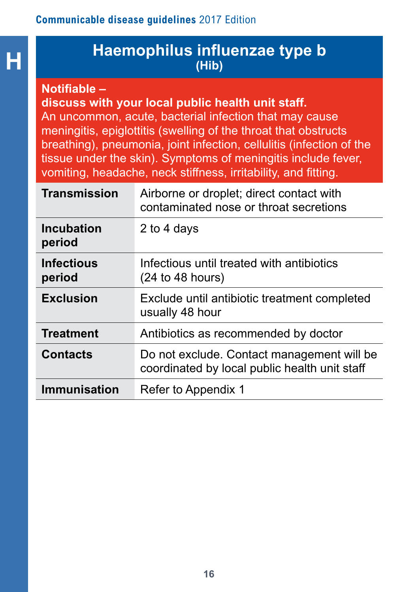# **H Haemophilus influenzae type b (Hib)**

#### **Notifiable –**

#### **discuss with your local public health unit staff.**

An uncommon, acute, bacterial infection that may cause meningitis, epiglottitis (swelling of the throat that obstructs breathing), pneumonia, joint infection, cellulitis (infection of the tissue under the skin). Symptoms of meningitis include fever, vomiting, headache, neck stiffness, irritability, and fitting.

| <b>Transmission</b>         | Airborne or droplet; direct contact with<br>contaminated nose or throat secretions          |
|-----------------------------|---------------------------------------------------------------------------------------------|
| <b>Incubation</b><br>period | 2 to 4 days                                                                                 |
| <b>Infectious</b><br>period | Infectious until treated with antibiotics<br>$(24 \text{ to } 48 \text{ hours})$            |
| <b>Exclusion</b>            | Exclude until antibiotic treatment completed<br>usually 48 hour                             |
| <b>Treatment</b>            | Antibiotics as recommended by doctor                                                        |
| <b>Contacts</b>             | Do not exclude. Contact management will be<br>coordinated by local public health unit staff |
| <b>Immunisation</b>         | Refer to Appendix 1                                                                         |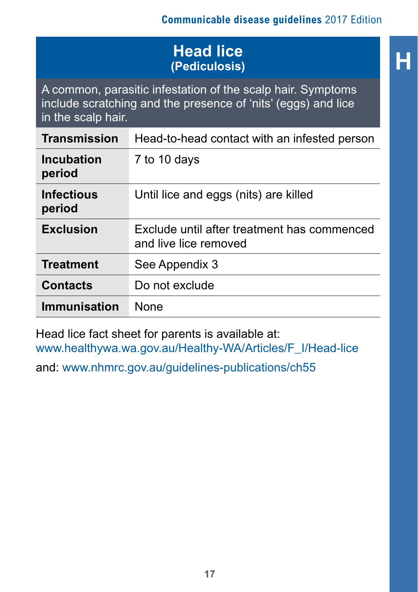# **H Head lice (Pediculosis)**

A common, parasitic infestation of the scalp hair. Symptoms include scratching and the presence of 'nits' (eggs) and lice in the scalp hair.

| Transmission                | Head-to-head contact with an infested person                         |
|-----------------------------|----------------------------------------------------------------------|
| <b>Incubation</b><br>period | 7 to 10 days                                                         |
| <b>Infectious</b><br>period | Until lice and eggs (nits) are killed                                |
| <b>Exclusion</b>            | Exclude until after treatment has commenced<br>and live lice removed |
| <b>Treatment</b>            | See Appendix 3                                                       |
| <b>Contacts</b>             | Do not exclude                                                       |
| Immunisation                | <b>None</b>                                                          |

Head lice fact sheet for parents is available at: [www.healthywa.wa.gov.au/Healthy-WA/Articles/F\\_I/Head-lice](http://www.healthywa.wa.gov.au/Healthy-WA/Articles/F_I/Head-lice)

and: [www.nhmrc.gov.au/guidelines-publications/ch55](http://www.nhmrc.gov.au/guidelines-publications/ch55)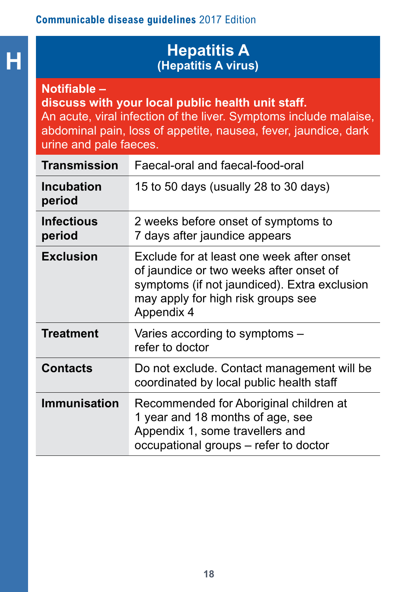# **H Hepatitis A Hepatitis A Hepatitis A** *Henatitis* A *Virus* **(Hepatitis A virus)**

**Notifiable –**

**discuss with your local public health unit staff.**

An acute, viral infection of the liver. Symptoms include malaise, abdominal pain, loss of appetite, nausea, fever, jaundice, dark urine and pale faeces.

| <b>Transmission</b>         | Faecal-oral and faecal-food-oral                                                                                                                                                         |
|-----------------------------|------------------------------------------------------------------------------------------------------------------------------------------------------------------------------------------|
| <b>Incubation</b><br>period | 15 to 50 days (usually 28 to 30 days)                                                                                                                                                    |
| <b>Infectious</b><br>period | 2 weeks before onset of symptoms to<br>7 days after jaundice appears                                                                                                                     |
| <b>Exclusion</b>            | Exclude for at least one week after onset<br>of jaundice or two weeks after onset of<br>symptoms (if not jaundiced). Extra exclusion<br>may apply for high risk groups see<br>Appendix 4 |
| <b>Treatment</b>            | Varies according to symptoms -<br>refer to doctor                                                                                                                                        |
| <b>Contacts</b>             | Do not exclude. Contact management will be<br>coordinated by local public health staff                                                                                                   |
| <b>Immunisation</b>         | Recommended for Aboriginal children at<br>1 year and 18 months of age, see<br>Appendix 1, some travellers and<br>occupational groups - refer to doctor                                   |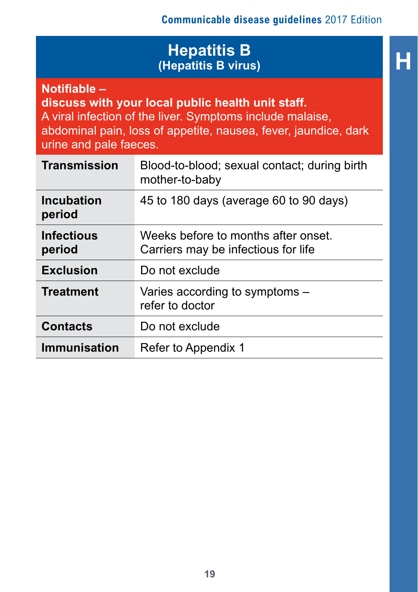### **Hepatitis B**<br>**Hepatitis B** virus) **(Hepatitis B virus)**

**Notifiable –** 

**discuss with your local public health unit staff.** A viral infection of the liver. Symptoms include malaise, abdominal pain, loss of appetite, nausea, fever, jaundice, dark urine and pale faeces.

| <b>Transmission</b>         | Blood-to-blood; sexual contact; during birth<br>mother-to-baby             |
|-----------------------------|----------------------------------------------------------------------------|
| Incubation<br>period        | 45 to 180 days (average 60 to 90 days)                                     |
| <b>Infectious</b><br>period | Weeks before to months after onset.<br>Carriers may be infectious for life |
| <b>Exclusion</b>            | Do not exclude                                                             |
| <b>Treatment</b>            | Varies according to symptoms -<br>refer to doctor                          |
| <b>Contacts</b>             | Do not exclude                                                             |
| <b>Immunisation</b>         | Refer to Appendix 1                                                        |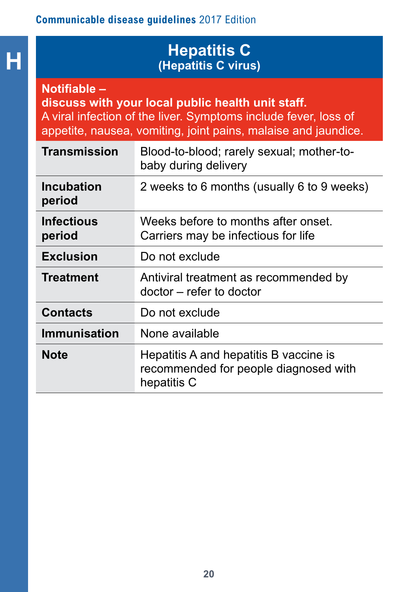**H**

# **Hepatitis C (Hepatitis C virus)**

**Notifiable – discuss with your local public health unit staff.** A viral infection of the liver. Symptoms include fever, loss of appetite, nausea, vomiting, joint pains, malaise and jaundice.

| Transmission                | Blood-to-blood; rarely sexual; mother-to-<br>baby during delivery                              |
|-----------------------------|------------------------------------------------------------------------------------------------|
| Incubation<br>period        | 2 weeks to 6 months (usually 6 to 9 weeks)                                                     |
| <b>Infectious</b><br>period | Weeks before to months after onset.<br>Carriers may be infectious for life                     |
| <b>Exclusion</b>            | Do not exclude                                                                                 |
| <b>Treatment</b>            | Antiviral treatment as recommended by<br>doctor – refer to doctor                              |
| <b>Contacts</b>             | Do not exclude                                                                                 |
| Immunisation                | None available                                                                                 |
| <b>Note</b>                 | Hepatitis A and hepatitis B vaccine is<br>recommended for people diagnosed with<br>hepatitis C |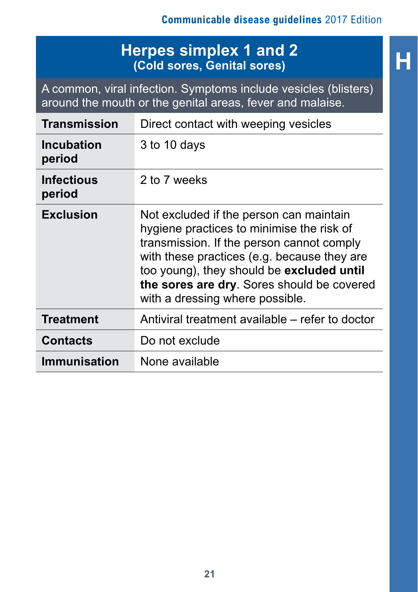# **H Herpes simplex 1 and 2 (Cold sores, Genital sores)**

A common, viral infection. Symptoms include vesicles (blisters) around the mouth or the genital areas, fever and malaise.

| <b>Transmission</b>         | Direct contact with weeping vesicles                                                                                                                                                                                                                                                                           |
|-----------------------------|----------------------------------------------------------------------------------------------------------------------------------------------------------------------------------------------------------------------------------------------------------------------------------------------------------------|
| <b>Incubation</b><br>period | 3 to 10 days                                                                                                                                                                                                                                                                                                   |
| <b>Infectious</b><br>period | 2 to 7 weeks                                                                                                                                                                                                                                                                                                   |
| <b>Exclusion</b>            | Not excluded if the person can maintain<br>hygiene practices to minimise the risk of<br>transmission. If the person cannot comply<br>with these practices (e.g. because they are<br>too young), they should be excluded until<br>the sores are dry. Sores should be covered<br>with a dressing where possible. |
| <b>Treatment</b>            | Antiviral treatment available – refer to doctor                                                                                                                                                                                                                                                                |
| <b>Contacts</b>             | Do not exclude                                                                                                                                                                                                                                                                                                 |
| <b>Immunisation</b>         | None available                                                                                                                                                                                                                                                                                                 |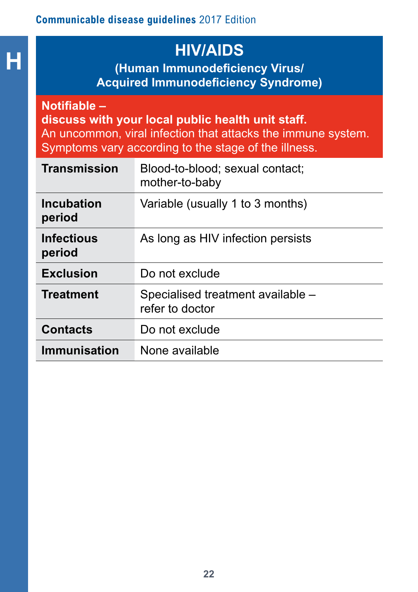**H HIV/AIDS (Human Immunodeficiency Virus/ Acquired Immunodeficiency Syndrome)** 

#### **Notifiable –**

**discuss with your local public health unit staff.** An uncommon, viral infection that attacks the immune system. Symptoms vary according to the stage of the illness.

| <b>Transmission</b>         | Blood-to-blood; sexual contact;<br>mother-to-baby    |
|-----------------------------|------------------------------------------------------|
| Incubation<br>period        | Variable (usually 1 to 3 months)                     |
| <b>Infectious</b><br>period | As long as HIV infection persists                    |
| <b>Exclusion</b>            | Do not exclude                                       |
| <b>Treatment</b>            | Specialised treatment available -<br>refer to doctor |
| <b>Contacts</b>             | Do not exclude                                       |
| <b>Immunisation</b>         | None available                                       |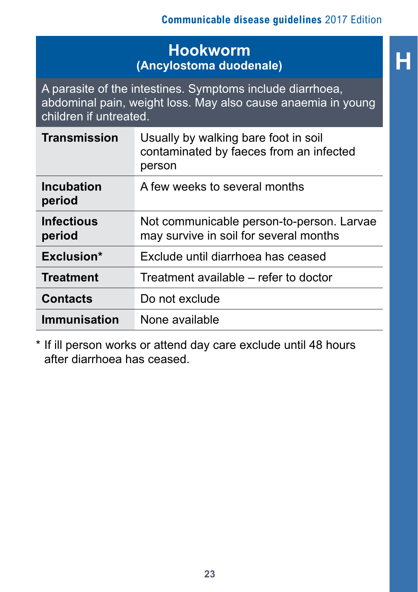# **H Hookworm (Ancylostoma duodenale)**

A parasite of the intestines. Symptoms include diarrhoea, abdominal pain, weight loss. May also cause anaemia in young children if untreated.

| <b>Transmission</b>         | Usually by walking bare foot in soil<br>contaminated by faeces from an infected<br>person |
|-----------------------------|-------------------------------------------------------------------------------------------|
| <b>Incubation</b><br>period | A few weeks to several months                                                             |
| <b>Infectious</b><br>period | Not communicable person-to-person. Larvae<br>may survive in soil for several months       |
| Exclusion*                  | Exclude until diarrhoea has ceased                                                        |
| <b>Treatment</b>            | Treatment available – refer to doctor                                                     |
| <b>Contacts</b>             | Do not exclude                                                                            |
| Immunisation                | None available                                                                            |

\* If ill person works or attend day care exclude until 48 hours after diarrhoea has ceased.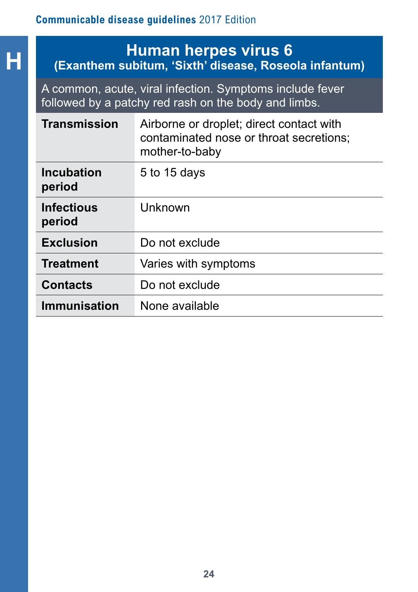# **HEREBY HUMAN herpes virus 6**<br> **HEREBY (Exanthem subitum, 'Sixth' disease, Roseola infantum)**

A common, acute, viral infection. Symptoms include fever followed by a patchy red rash on the body and limbs.

| <b>Transmission</b>         | Airborne or droplet; direct contact with<br>contaminated nose or throat secretions;<br>mother-to-baby |
|-----------------------------|-------------------------------------------------------------------------------------------------------|
| <b>Incubation</b><br>period | 5 to 15 days                                                                                          |
| <b>Infectious</b><br>period | Unknown                                                                                               |
| <b>Exclusion</b>            | Do not exclude                                                                                        |
| <b>Treatment</b>            | Varies with symptoms                                                                                  |
| <b>Contacts</b>             | Do not exclude                                                                                        |
| <b>Immunisation</b>         | None available                                                                                        |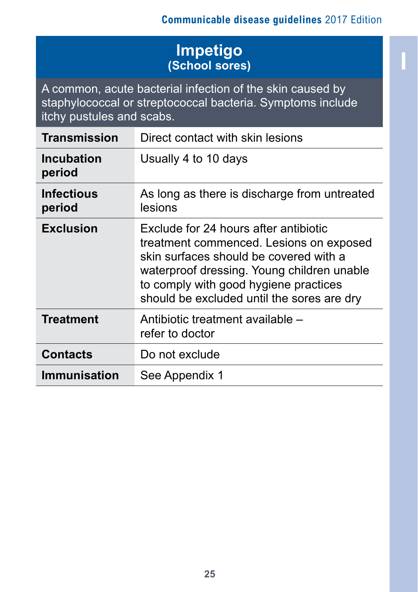# **I Impetigo (School sores)**

A common, acute bacterial infection of the skin caused by staphylococcal or streptococcal bacteria. Symptoms include itchy pustules and scabs.

| <b>Transmission</b>         | Direct contact with skin lesions                                                                                                                                                                                                                                |
|-----------------------------|-----------------------------------------------------------------------------------------------------------------------------------------------------------------------------------------------------------------------------------------------------------------|
| <b>Incubation</b><br>period | Usually 4 to 10 days                                                                                                                                                                                                                                            |
| <b>Infectious</b><br>period | As long as there is discharge from untreated<br>lesions                                                                                                                                                                                                         |
| <b>Exclusion</b>            | Exclude for 24 hours after antibiotic<br>treatment commenced. Lesions on exposed<br>skin surfaces should be covered with a<br>waterproof dressing. Young children unable<br>to comply with good hygiene practices<br>should be excluded until the sores are dry |
| Treatment                   | Antibiotic treatment available -<br>refer to doctor                                                                                                                                                                                                             |
| <b>Contacts</b>             | Do not exclude                                                                                                                                                                                                                                                  |
| <b>Immunisation</b>         | See Appendix 1                                                                                                                                                                                                                                                  |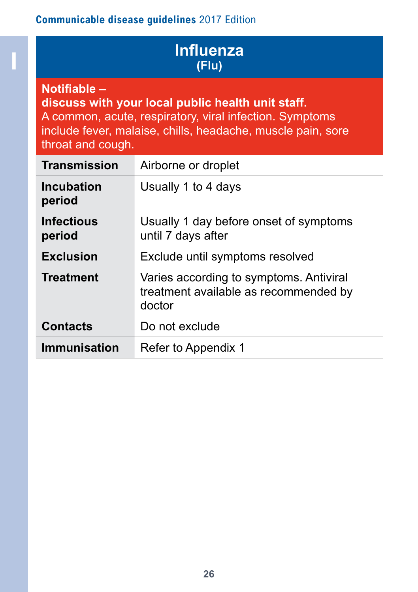# **I Influenza (Flu)**

#### **Notifiable –**

**discuss with your local public health unit staff.** A common, acute, respiratory, viral infection. Symptoms include fever, malaise, chills, headache, muscle pain, sore throat and cough.

| <b>Transmission</b>         | Airborne or droplet                                                                        |
|-----------------------------|--------------------------------------------------------------------------------------------|
| <b>Incubation</b><br>period | Usually 1 to 4 days                                                                        |
| <b>Infectious</b><br>period | Usually 1 day before onset of symptoms<br>until 7 days after                               |
| <b>Exclusion</b>            | Exclude until symptoms resolved                                                            |
| <b>Treatment</b>            | Varies according to symptoms. Antiviral<br>treatment available as recommended by<br>doctor |
| <b>Contacts</b>             | Do not exclude                                                                             |
| <b>Immunisation</b>         | Refer to Appendix 1                                                                        |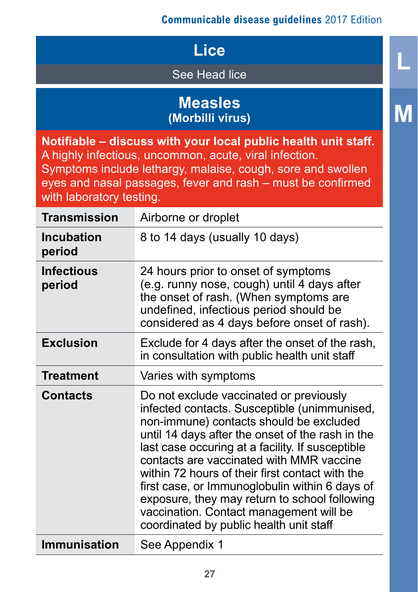**L**

**M**

# **Lice**

See Head lice

# **Measles (Morbilli virus)**

**Notifiable – discuss with your local public health unit staff.** A highly infectious, uncommon, acute, viral infection. Symptoms include lethargy, malaise, cough, sore and swollen eyes and nasal passages, fever and rash – must be confirmed with laboratory testing. **Transmission** Airborne or droplet **Incubation period** 8 to 14 days (usually 10 days) **Infectious period** 24 hours prior to onset of symptoms (e.g. runny nose, cough) until 4 days after the onset of rash. (When symptoms are undefined, infectious period should be considered as 4 days before onset of rash). **Exclusion** Exclude for 4 days after the onset of the rash, in consultation with public health unit staff **Treatment** Varies with symptoms **Contacts** Do not exclude vaccinated or previously infected contacts. Susceptible (unimmunised, non-immune) contacts should be excluded until 14 days after the onset of the rash in the last case occuring at a facility. If susceptible contacts are vaccinated with MMR vaccine within 72 hours of their first contact with the first case, or Immunoglobulin within 6 days of

exposure, they may return to school following vaccination. Contact management will be coordinated by public health unit staff **Immunisation** See Appendix 1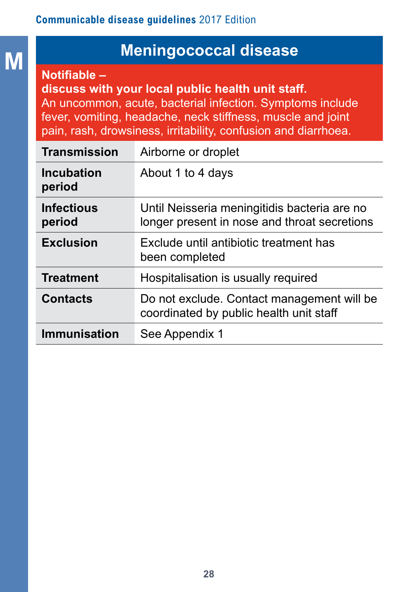# **M M Meningococcal disease**

**Notifiable –** 

**discuss with your local public health unit staff.**  An uncommon, acute, bacterial infection. Symptoms include fever, vomiting, headache, neck stiffness, muscle and joint pain, rash, drowsiness, irritability, confusion and diarrhoea.

| <b>Transmission</b>         | Airborne or droplet                                                                          |
|-----------------------------|----------------------------------------------------------------------------------------------|
| <b>Incubation</b><br>period | About 1 to 4 days                                                                            |
| <b>Infectious</b><br>period | Until Neisseria meningitidis bacteria are no<br>longer present in nose and throat secretions |
| <b>Exclusion</b>            | Exclude until antibiotic treatment has<br>been completed                                     |
| <b>Treatment</b>            | Hospitalisation is usually required                                                          |
| <b>Contacts</b>             | Do not exclude. Contact management will be<br>coordinated by public health unit staff        |
| <b>Immunisation</b>         | See Appendix 1                                                                               |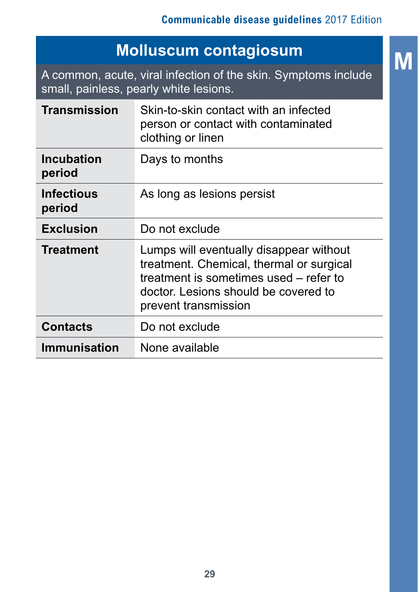# **M Molluscum contagiosum**

A common, acute, viral infection of the skin. Symptoms include small, painless, pearly white lesions.

| <b>Transmission</b>         | Skin-to-skin contact with an infected<br>person or contact with contaminated<br>clothing or linen                                                                                             |
|-----------------------------|-----------------------------------------------------------------------------------------------------------------------------------------------------------------------------------------------|
| <b>Incubation</b><br>period | Days to months                                                                                                                                                                                |
| <b>Infectious</b><br>period | As long as lesions persist                                                                                                                                                                    |
| <b>Exclusion</b>            | Do not exclude                                                                                                                                                                                |
| <b>Treatment</b>            | Lumps will eventually disappear without<br>treatment. Chemical, thermal or surgical<br>treatment is sometimes used – refer to<br>doctor. Lesions should be covered to<br>prevent transmission |
| <b>Contacts</b>             | Do not exclude                                                                                                                                                                                |
| <b>Immunisation</b>         | None available                                                                                                                                                                                |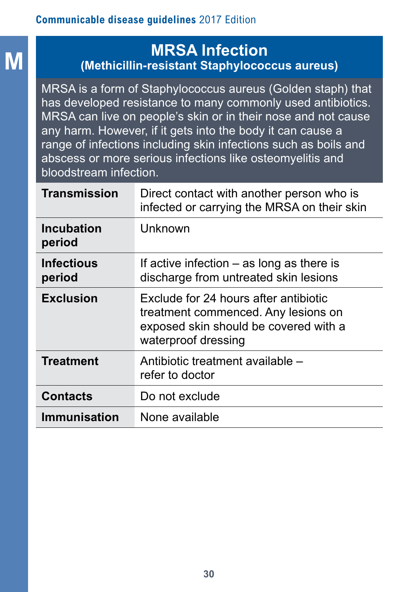# **M MRSA Infection (Methicillin-resistant Staphylococcus aureus)**

MRSA is a form of Staphylococcus aureus (Golden staph) that has developed resistance to many commonly used antibiotics. MRSA can live on people's skin or in their nose and not cause any harm. However, if it gets into the body it can cause a range of infections including skin infections such as boils and abscess or more serious infections like osteomyelitis and bloodstream infection.

| Transmission                | Direct contact with another person who is<br>infected or carrying the MRSA on their skin                                                     |
|-----------------------------|----------------------------------------------------------------------------------------------------------------------------------------------|
| <b>Incubation</b><br>period | Unknown                                                                                                                                      |
| <b>Infectious</b><br>period | If active infection $-$ as long as there is<br>discharge from untreated skin lesions                                                         |
| <b>Exclusion</b>            | Exclude for 24 hours after antibiotic<br>treatment commenced. Any lesions on<br>exposed skin should be covered with a<br>waterproof dressing |
| <b>Treatment</b>            | Antibiotic treatment available –<br>refer to doctor                                                                                          |
| <b>Contacts</b>             | Do not exclude                                                                                                                               |
| <b>Immunisation</b>         | None available                                                                                                                               |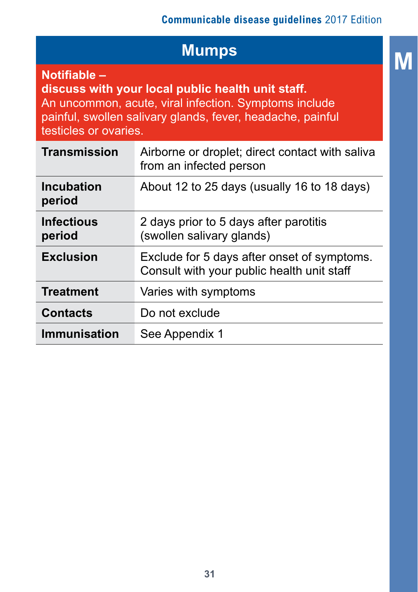**M**

| <b>Mumps</b>                                                                                                                                                                                                      |                                                                                           |
|-------------------------------------------------------------------------------------------------------------------------------------------------------------------------------------------------------------------|-------------------------------------------------------------------------------------------|
| Notifiable -<br>discuss with your local public health unit staff.<br>An uncommon, acute, viral infection. Symptoms include<br>painful, swollen salivary glands, fever, headache, painful<br>testicles or ovaries. |                                                                                           |
| <b>Transmission</b>                                                                                                                                                                                               | Airborne or droplet; direct contact with saliva<br>from an infected person                |
| <b>Incubation</b><br>period                                                                                                                                                                                       | About 12 to 25 days (usually 16 to 18 days)                                               |
| <b>Infectious</b><br>period                                                                                                                                                                                       | 2 days prior to 5 days after parotitis<br>(swollen salivary glands)                       |
| <b>Exclusion</b>                                                                                                                                                                                                  | Exclude for 5 days after onset of symptoms.<br>Consult with your public health unit staff |
| <b>Treatment</b>                                                                                                                                                                                                  | Varies with symptoms                                                                      |
| <b>Contacts</b>                                                                                                                                                                                                   | Do not exclude                                                                            |
| <b>Immunisation</b>                                                                                                                                                                                               | See Appendix 1                                                                            |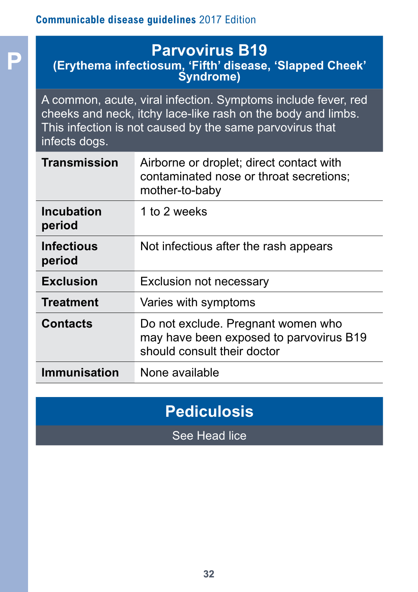**P Parvovirus B19 (Erythema infectiosum, 'Fifth' disease, 'Slapped Cheek' Syndrome)**

A common, acute, viral infection. Symptoms include fever, red cheeks and neck, itchy lace-like rash on the body and limbs. This infection is not caused by the same parvovirus that infects dogs.

| Transmission                | Airborne or droplet; direct contact with<br>contaminated nose or throat secretions;<br>mother-to-baby        |
|-----------------------------|--------------------------------------------------------------------------------------------------------------|
| <b>Incubation</b><br>period | 1 to 2 weeks                                                                                                 |
| <b>Infectious</b><br>period | Not infectious after the rash appears                                                                        |
| <b>Exclusion</b>            | Exclusion not necessary                                                                                      |
| <b>Treatment</b>            | Varies with symptoms                                                                                         |
| <b>Contacts</b>             | Do not exclude. Pregnant women who<br>may have been exposed to parvovirus B19<br>should consult their doctor |
| <b>Immunisation</b>         | None available                                                                                               |
|                             |                                                                                                              |

# **Pediculosis**

See Head lice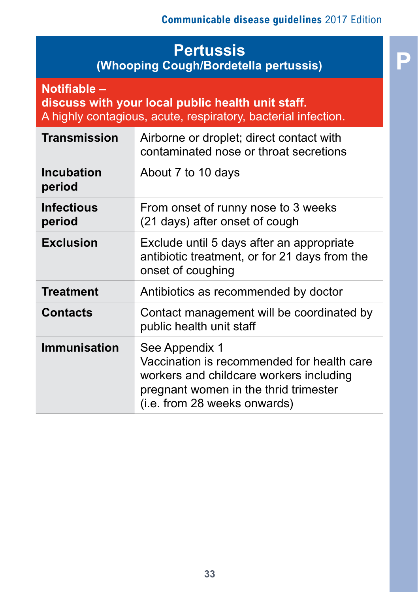# **Pertussis (Whooping Cough/Bordetella pertussis)**

| Notifiable -<br>discuss with your local public health unit staff.<br>A highly contagious, acute, respiratory, bacterial infection. |                                                                                                                                                                                  |
|------------------------------------------------------------------------------------------------------------------------------------|----------------------------------------------------------------------------------------------------------------------------------------------------------------------------------|
| <b>Transmission</b>                                                                                                                | Airborne or droplet; direct contact with<br>contaminated nose or throat secretions                                                                                               |
| <b>Incubation</b><br>period                                                                                                        | About 7 to 10 days                                                                                                                                                               |
| <b>Infectious</b><br>period                                                                                                        | From onset of runny nose to 3 weeks<br>(21 days) after onset of cough                                                                                                            |
| <b>Exclusion</b>                                                                                                                   | Exclude until 5 days after an appropriate<br>antibiotic treatment, or for 21 days from the<br>onset of coughing                                                                  |
| <b>Treatment</b>                                                                                                                   | Antibiotics as recommended by doctor                                                                                                                                             |
| <b>Contacts</b>                                                                                                                    | Contact management will be coordinated by<br>public health unit staff                                                                                                            |
| <b>Immunisation</b>                                                                                                                | See Appendix 1<br>Vaccination is recommended for health care<br>workers and childcare workers including<br>pregnant women in the thrid trimester<br>(i.e. from 28 weeks onwards) |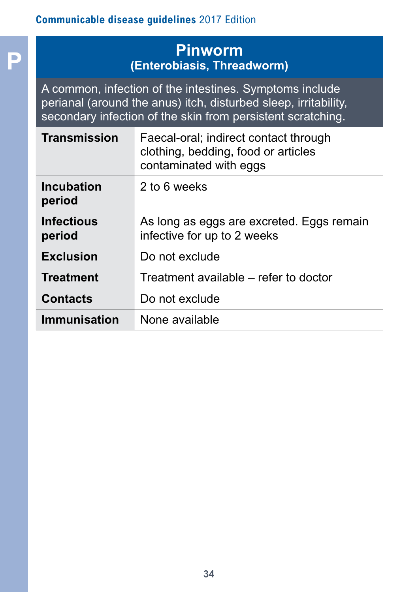**P**

# **Pinworm (Enterobiasis, Threadworm)**

A common, infection of the intestines. Symptoms include perianal (around the anus) itch, disturbed sleep, irritability, secondary infection of the skin from persistent scratching.

| Transmission                | Faecal-oral; indirect contact through<br>clothing, bedding, food or articles<br>contaminated with eggs |
|-----------------------------|--------------------------------------------------------------------------------------------------------|
| <b>Incubation</b><br>period | 2 to 6 weeks                                                                                           |
| <b>Infectious</b><br>period | As long as eggs are excreted. Eggs remain<br>infective for up to 2 weeks                               |
| <b>Exclusion</b>            | Do not exclude                                                                                         |
| <b>Treatment</b>            | Treatment available – refer to doctor                                                                  |
| <b>Contacts</b>             | Do not exclude                                                                                         |
| Immunisation                | None available                                                                                         |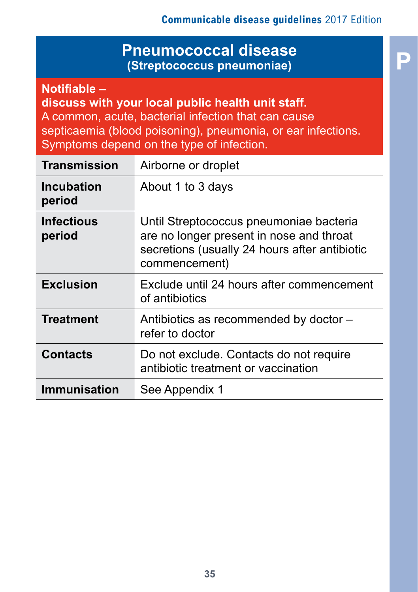**P**

## **Pneumococcal disease (Streptococcus pneumoniae)**

**Notifiable –** 

**discuss with your local public health unit staff.** A common, acute, bacterial infection that can cause septicaemia (blood poisoning), pneumonia, or ear infections. Symptoms depend on the type of infection.

| <b>Transmission</b>         | Airborne or droplet                                                                                                                                   |  |
|-----------------------------|-------------------------------------------------------------------------------------------------------------------------------------------------------|--|
| <b>Incubation</b><br>period | About 1 to 3 days                                                                                                                                     |  |
| <b>Infectious</b><br>period | Until Streptococcus pneumoniae bacteria<br>are no longer present in nose and throat<br>secretions (usually 24 hours after antibiotic<br>commencement) |  |
| <b>Exclusion</b>            | Exclude until 24 hours after commencement<br>of antibiotics                                                                                           |  |
| <b>Treatment</b>            | Antibiotics as recommended by doctor -<br>refer to doctor                                                                                             |  |
| <b>Contacts</b>             | Do not exclude. Contacts do not require<br>antibiotic treatment or vaccination                                                                        |  |
| <b>Immunisation</b>         | See Appendix 1                                                                                                                                        |  |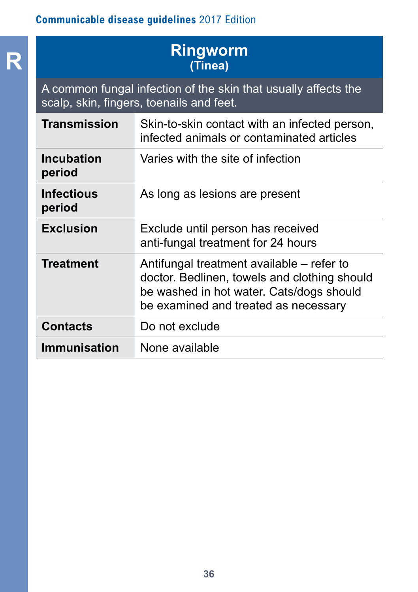# **R Ringworm (Tinea)**

A common fungal infection of the skin that usually affects the scalp, skin, fingers, toenails and feet.

| Transmission                | Skin-to-skin contact with an infected person,<br>infected animals or contaminated articles                                                                                    |
|-----------------------------|-------------------------------------------------------------------------------------------------------------------------------------------------------------------------------|
| Incubation<br>period        | Varies with the site of infection                                                                                                                                             |
| <b>Infectious</b><br>period | As long as lesions are present                                                                                                                                                |
| <b>Exclusion</b>            | Exclude until person has received<br>anti-fungal treatment for 24 hours                                                                                                       |
| <b>Treatment</b>            | Antifungal treatment available – refer to<br>doctor. Bedlinen, towels and clothing should<br>be washed in hot water. Cats/dogs should<br>be examined and treated as necessary |
| <b>Contacts</b>             | Do not exclude                                                                                                                                                                |
| <b>Immunisation</b>         | None available                                                                                                                                                                |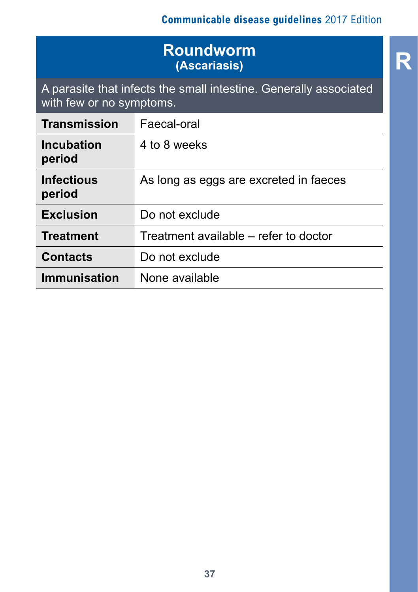# **Roundworm**<br> **R** (Ascariasis) **(Ascariasis)**

A parasite that infects the small intestine. Generally associated with few or no symptoms.

| Transmission                | Faecal-oral                            |
|-----------------------------|----------------------------------------|
| Incubation<br>period        | 4 to 8 weeks                           |
| <b>Infectious</b><br>period | As long as eggs are excreted in faeces |
| <b>Exclusion</b>            | Do not exclude                         |
| <b>Treatment</b>            | Treatment available – refer to doctor  |
| <b>Contacts</b>             | Do not exclude                         |
| <b>Immunisation</b>         | None available                         |

**37**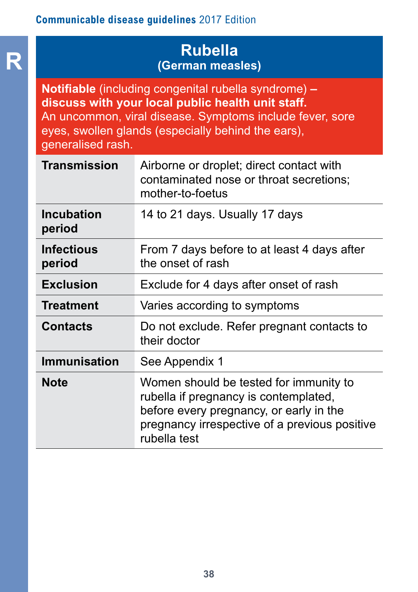**R**

### **Rubella (German measles)**

**Notifiable** (including congenital rubella syndrome) **– discuss with your local public health unit staff.** An uncommon, viral disease. Symptoms include fever, sore eyes, swollen glands (especially behind the ears), generalised rash.

| <b>Transmission</b>         | Airborne or droplet; direct contact with<br>contaminated nose or throat secretions;<br>mother-to-foetus                                                                                     |
|-----------------------------|---------------------------------------------------------------------------------------------------------------------------------------------------------------------------------------------|
| <b>Incubation</b><br>period | 14 to 21 days. Usually 17 days                                                                                                                                                              |
| Infectious<br>period        | From 7 days before to at least 4 days after<br>the onset of rash                                                                                                                            |
| <b>Exclusion</b>            | Exclude for 4 days after onset of rash                                                                                                                                                      |
| <b>Treatment</b>            | Varies according to symptoms                                                                                                                                                                |
| Contacts                    | Do not exclude. Refer pregnant contacts to<br>their doctor                                                                                                                                  |
| <b>Immunisation</b>         | See Appendix 1                                                                                                                                                                              |
| <b>Note</b>                 | Women should be tested for immunity to<br>rubella if pregnancy is contemplated,<br>before every pregnancy, or early in the<br>pregnancy irrespective of a previous positive<br>rubella test |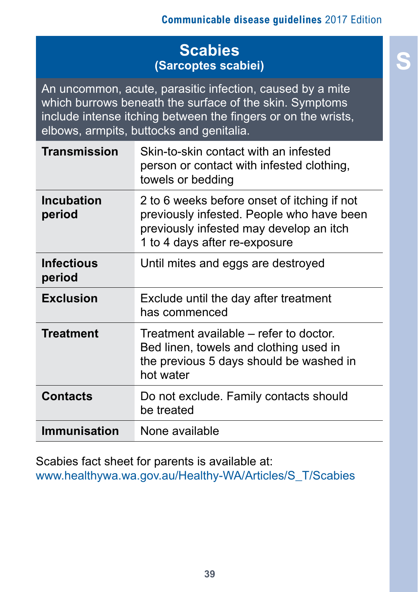# **S Scabies (Sarcoptes scabiei)**

An uncommon, acute, parasitic infection, caused by a mite which burrows beneath the surface of the skin. Symptoms include intense itching between the fingers or on the wrists, elbows, armpits, buttocks and genitalia.

| <b>Transmission</b>  | Skin-to-skin contact with an infested<br>person or contact with infested clothing,<br>towels or bedding                                                              |
|----------------------|----------------------------------------------------------------------------------------------------------------------------------------------------------------------|
| Incubation<br>period | 2 to 6 weeks before onset of itching if not<br>previously infested. People who have been<br>previously infested may develop an itch<br>1 to 4 days after re-exposure |
| Infectious<br>period | Until mites and eggs are destroyed                                                                                                                                   |
| <b>Exclusion</b>     | Exclude until the day after treatment<br>has commenced                                                                                                               |
| <b>Treatment</b>     | Treatment available – refer to doctor.<br>Bed linen, towels and clothing used in<br>the previous 5 days should be washed in<br>hot water                             |
| <b>Contacts</b>      | Do not exclude. Family contacts should<br>be treated                                                                                                                 |
| <b>Immunisation</b>  | None available                                                                                                                                                       |

Scabies fact sheet for parents is available at: [www.healthywa.wa.gov.au/Healthy-WA/Articles/S\\_T/Scabies](http://www.healthywa.wa.gov.au/Healthy-WA/Articles/S_T/Scabies)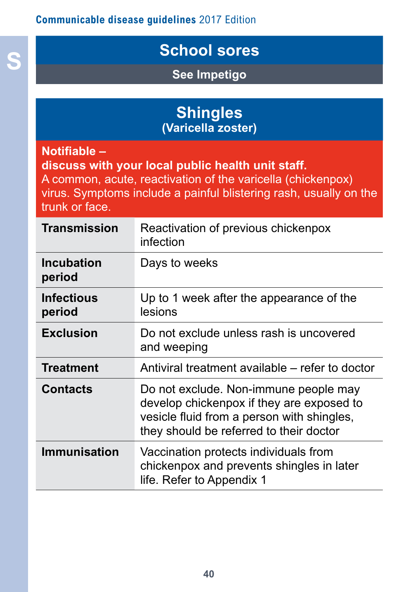# **S School sores**

**See Impetigo**

|                    | <b>Shingles</b><br>(Varicella zoster)                             |
|--------------------|-------------------------------------------------------------------|
| <b>Notifiable-</b> | discuss with your local public health unit staff.                 |
|                    | A common, acute, reactivation of the varicella (chickenpox)       |
|                    | virus. Symptoms include a painful blistering rash, usually on the |

trunk or face.

| <b>Transmission</b>  | Reactivation of previous chickenpox<br>infection                                                                                                                            |
|----------------------|-----------------------------------------------------------------------------------------------------------------------------------------------------------------------------|
| Incubation<br>period | Days to weeks                                                                                                                                                               |
| Infectious<br>period | Up to 1 week after the appearance of the<br>lesions                                                                                                                         |
| <b>Exclusion</b>     | Do not exclude unless rash is uncovered<br>and weeping                                                                                                                      |
| <b>Treatment</b>     | Antiviral treatment available – refer to doctor                                                                                                                             |
| <b>Contacts</b>      | Do not exclude. Non-immune people may<br>develop chickenpox if they are exposed to<br>vesicle fluid from a person with shingles,<br>they should be referred to their doctor |
| <b>Immunisation</b>  | Vaccination protects individuals from<br>chickenpox and prevents shingles in later<br>life. Refer to Appendix 1                                                             |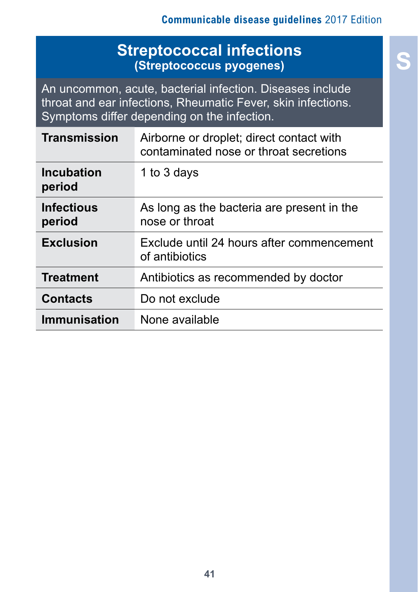## **S Streptococcal infections (Streptococcus pyogenes)**

An uncommon, acute, bacterial infection. Diseases include throat and ear infections, Rheumatic Fever, skin infections. Symptoms differ depending on the infection.

| <b>Transmission</b>         | Airborne or droplet; direct contact with<br>contaminated nose or throat secretions |
|-----------------------------|------------------------------------------------------------------------------------|
| <b>Incubation</b><br>period | 1 to 3 days                                                                        |
| <b>Infectious</b><br>period | As long as the bacteria are present in the<br>nose or throat                       |
| <b>Exclusion</b>            | Exclude until 24 hours after commencement<br>of antibiotics                        |
| <b>Treatment</b>            | Antibiotics as recommended by doctor                                               |
| <b>Contacts</b>             | Do not exclude                                                                     |
| <b>Immunisation</b>         | None available                                                                     |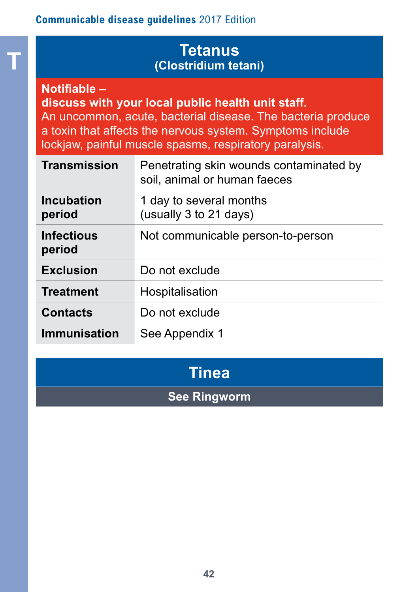### **Tetanus (Clostridium tetani)**

**Notifiable –** 

**T**

**discuss with your local public health unit staff.**

An uncommon, acute, bacterial disease. The bacteria produce a toxin that affects the nervous system. Symptoms include lockjaw, painful muscle spasms, respiratory paralysis.

| <b>Transmission</b>         | Penetrating skin wounds contaminated by<br>soil, animal or human faeces |  |
|-----------------------------|-------------------------------------------------------------------------|--|
| Incubation<br>period        | 1 day to several months<br>(usually 3 to 21 days)                       |  |
| <b>Infectious</b><br>period | Not communicable person-to-person                                       |  |
| <b>Exclusion</b>            | Do not exclude                                                          |  |
| <b>Treatment</b>            | Hospitalisation                                                         |  |
| <b>Contacts</b>             | Do not exclude                                                          |  |
| <b>Immunisation</b>         | See Appendix 1                                                          |  |

# **Tinea**

## **See Ringworm**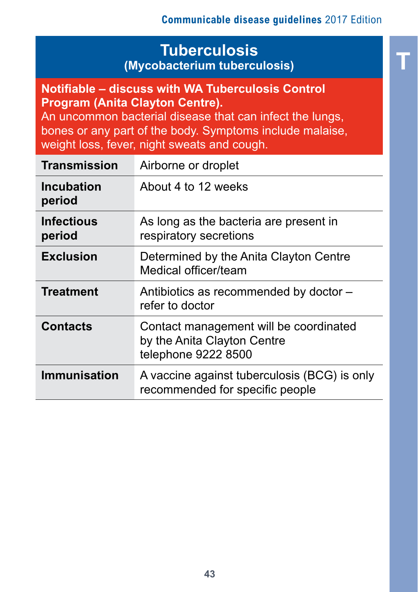**T**

# **Tuberculosis (Mycobacterium tuberculosis)**

#### **Notifiable – discuss with WA Tuberculosis Control Program (Anita Clayton Centre).**

An uncommon bacterial disease that can infect the lungs, bones or any part of the body. Symptoms include malaise, weight loss, fever, night sweats and cough.

| Transmission         | Airborne or droplet                                                                          |  |
|----------------------|----------------------------------------------------------------------------------------------|--|
| Incubation<br>period | About 4 to 12 weeks                                                                          |  |
| Infectious<br>period | As long as the bacteria are present in<br>respiratory secretions                             |  |
| <b>Exclusion</b>     | Determined by the Anita Clayton Centre<br>Medical officer/team                               |  |
| <b>Treatment</b>     | Antibiotics as recommended by doctor -<br>refer to doctor                                    |  |
| <b>Contacts</b>      | Contact management will be coordinated<br>by the Anita Clayton Centre<br>telephone 9222 8500 |  |
| <b>Immunisation</b>  | A vaccine against tuberculosis (BCG) is only<br>recommended for specific people              |  |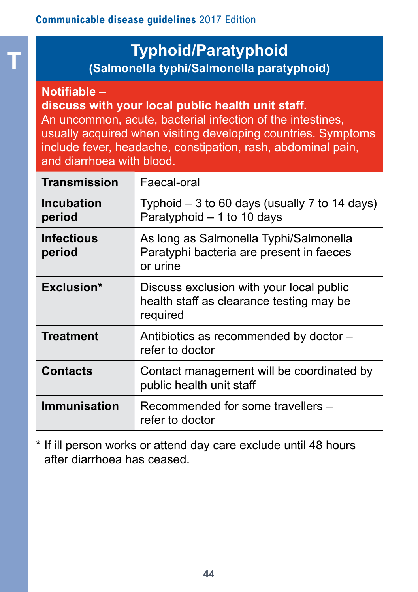# **Typhoid/Paratyphoid**

**(Salmonella typhi/Salmonella paratyphoid)** 

#### **Notifiable –**

**T**

**discuss with your local public health unit staff.**

An uncommon, acute, bacterial infection of the intestines, usually acquired when visiting developing countries. Symptoms include fever, headache, constipation, rash, abdominal pain, and diarrhoea with blood.

| <b>Transmission</b>         | Faecal-oral                                                                                      |
|-----------------------------|--------------------------------------------------------------------------------------------------|
| <b>Incubation</b><br>period | Typhoid $-3$ to 60 days (usually 7 to 14 days)<br>Paratyphoid - 1 to 10 days                     |
| <b>Infectious</b><br>period | As long as Salmonella Typhi/Salmonella<br>Paratyphi bacteria are present in faeces<br>or urine   |
| Exclusion*                  | Discuss exclusion with your local public<br>health staff as clearance testing may be<br>required |
| <b>Treatment</b>            | Antibiotics as recommended by doctor -<br>refer to doctor                                        |
| <b>Contacts</b>             | Contact management will be coordinated by<br>public health unit staff                            |
| <b>Immunisation</b>         | Recommended for some travellers -<br>refer to doctor                                             |

\* If ill person works or attend day care exclude until 48 hours after diarrhoea has ceased.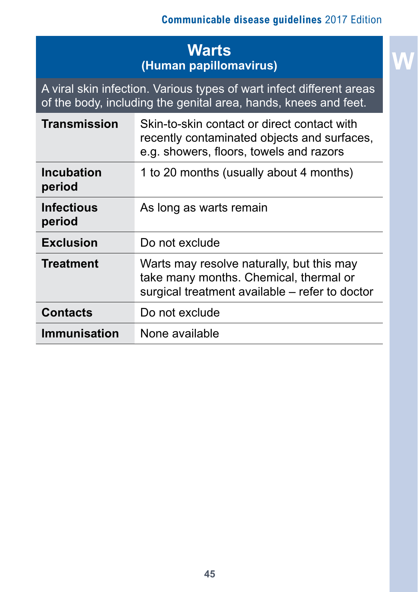# **Warts (Human papillomavirus)**

A viral skin infection. Various types of wart infect different areas of the body, including the genital area, hands, knees and feet.

| <b>Transmission</b>         | Skin-to-skin contact or direct contact with<br>recently contaminated objects and surfaces,<br>e.g. showers, floors, towels and razors |  |
|-----------------------------|---------------------------------------------------------------------------------------------------------------------------------------|--|
| <b>Incubation</b><br>period | 1 to 20 months (usually about 4 months)                                                                                               |  |
| <b>Infectious</b><br>period | As long as warts remain                                                                                                               |  |
| <b>Exclusion</b>            | Do not exclude                                                                                                                        |  |
| <b>Treatment</b>            | Warts may resolve naturally, but this may<br>take many months. Chemical, thermal or<br>surgical treatment available – refer to doctor |  |
| <b>Contacts</b>             | Do not exclude                                                                                                                        |  |
| Immunisation                | None available                                                                                                                        |  |

# **W**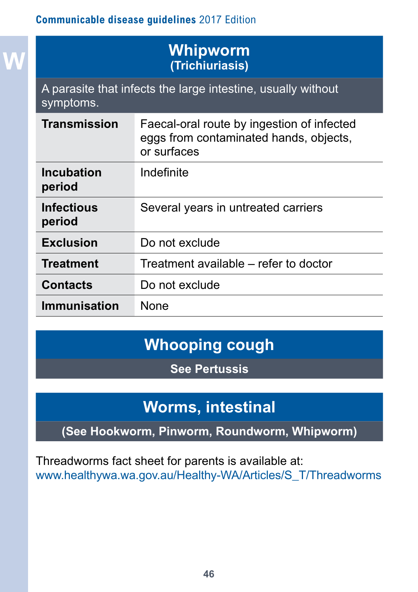**W**

## **Whipworm (Trichiuriasis)**

A parasite that infects the large intestine, usually without symptoms.

| <b>Transmission</b>         | Faecal-oral route by ingestion of infected<br>eggs from contaminated hands, objects,<br>or surfaces |
|-----------------------------|-----------------------------------------------------------------------------------------------------|
| <b>Incubation</b><br>period | Indefinite                                                                                          |
| <b>Infectious</b><br>period | Several years in untreated carriers                                                                 |
| <b>Exclusion</b>            | Do not exclude                                                                                      |
| <b>Treatment</b>            | Treatment available – refer to doctor                                                               |
| <b>Contacts</b>             | Do not exclude                                                                                      |
| Immunisation                | <b>None</b>                                                                                         |

# **Whooping cough**

**See Pertussis**

# **Worms, intestinal**

**(See Hookworm, Pinworm, Roundworm, Whipworm)**

Threadworms fact sheet for parents is available at: [www.healthywa.wa.gov.au/Healthy-WA/Articles/S\\_T/Threadworms](http://www.healthywa.wa.gov.au/Healthy-WA/Articles/S_T/Threadworms)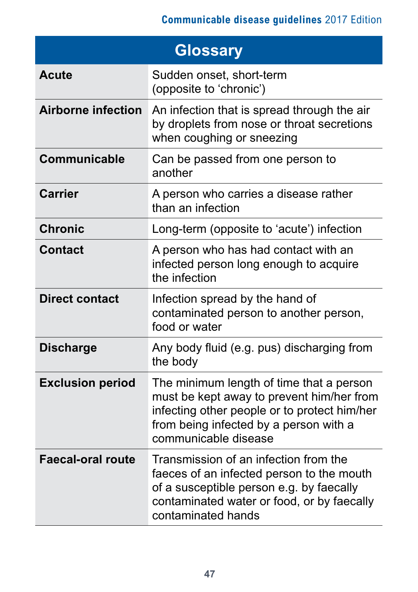| <b>Glossary</b>           |                                                                                                                                                                                                         |  |
|---------------------------|---------------------------------------------------------------------------------------------------------------------------------------------------------------------------------------------------------|--|
| <b>Acute</b>              | Sudden onset, short-term<br>(opposite to 'chronic')                                                                                                                                                     |  |
| <b>Airborne infection</b> | An infection that is spread through the air<br>by droplets from nose or throat secretions<br>when coughing or sneezing                                                                                  |  |
| Communicable              | Can be passed from one person to<br>another                                                                                                                                                             |  |
| <b>Carrier</b>            | A person who carries a disease rather<br>than an infection                                                                                                                                              |  |
| <b>Chronic</b>            | Long-term (opposite to 'acute') infection                                                                                                                                                               |  |
| <b>Contact</b>            | A person who has had contact with an<br>infected person long enough to acquire<br>the infection                                                                                                         |  |
| <b>Direct contact</b>     | Infection spread by the hand of<br>contaminated person to another person,<br>food or water                                                                                                              |  |
| <b>Discharge</b>          | Any body fluid (e.g. pus) discharging from<br>the body                                                                                                                                                  |  |
| <b>Exclusion period</b>   | The minimum length of time that a person<br>must be kept away to prevent him/her from<br>infecting other people or to protect him/her<br>from being infected by a person with a<br>communicable disease |  |
| <b>Faecal-oral route</b>  | Transmission of an infection from the<br>faeces of an infected person to the mouth<br>of a susceptible person e.g. by faecally<br>contaminated water or food, or by faecally<br>contaminated hands      |  |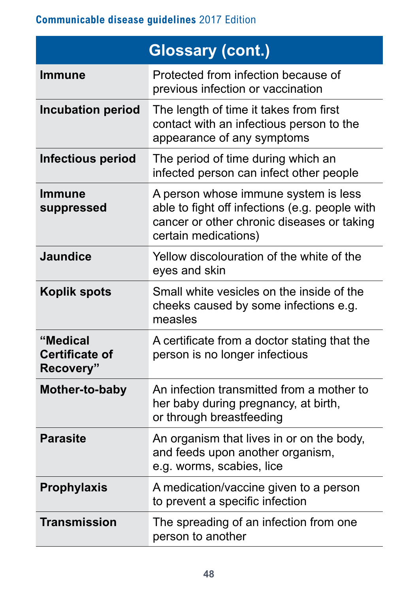|                                                | <b>Glossary (cont.)</b>                                                                                                                                      |
|------------------------------------------------|--------------------------------------------------------------------------------------------------------------------------------------------------------------|
| <b>Immune</b>                                  | Protected from infection because of<br>previous infection or vaccination                                                                                     |
| <b>Incubation period</b>                       | The length of time it takes from first<br>contact with an infectious person to the<br>appearance of any symptoms                                             |
| <b>Infectious period</b>                       | The period of time during which an<br>infected person can infect other people                                                                                |
| <b>Immune</b><br>suppressed                    | A person whose immune system is less<br>able to fight off infections (e.g. people with<br>cancer or other chronic diseases or taking<br>certain medications) |
| <b>Jaundice</b>                                | Yellow discolouration of the white of the<br>eyes and skin                                                                                                   |
| <b>Koplik spots</b>                            | Small white vesicles on the inside of the<br>cheeks caused by some infections e.g.<br>measles                                                                |
| "Medical<br><b>Certificate of</b><br>Recovery" | A certificate from a doctor stating that the<br>person is no longer infectious                                                                               |
| Mother-to-baby                                 | An infection transmitted from a mother to<br>her baby during pregnancy, at birth,<br>or through breastfeeding                                                |
| <b>Parasite</b>                                | An organism that lives in or on the body,<br>and feeds upon another organism,<br>e.g. worms, scabies, lice                                                   |
| <b>Prophylaxis</b>                             | A medication/vaccine given to a person<br>to prevent a specific infection                                                                                    |
| <b>Transmission</b>                            | The spreading of an infection from one<br>person to another                                                                                                  |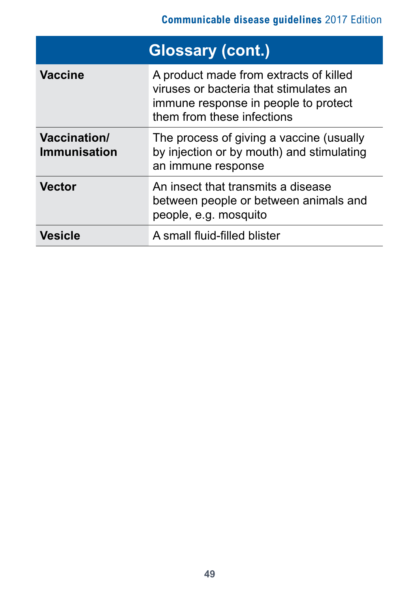| <b>Glossary (cont.)</b>      |                                                                                                                                                        |  |
|------------------------------|--------------------------------------------------------------------------------------------------------------------------------------------------------|--|
| <b>Vaccine</b>               | A product made from extracts of killed<br>viruses or bacteria that stimulates an<br>immune response in people to protect<br>them from these infections |  |
| Vaccination/<br>Immunisation | The process of giving a vaccine (usually<br>by injection or by mouth) and stimulating<br>an immune response                                            |  |
| <b>Vector</b>                | An insect that transmits a disease<br>between people or between animals and<br>people, e.g. mosquito                                                   |  |
| <b>Vesicle</b>               | A small fluid-filled blister                                                                                                                           |  |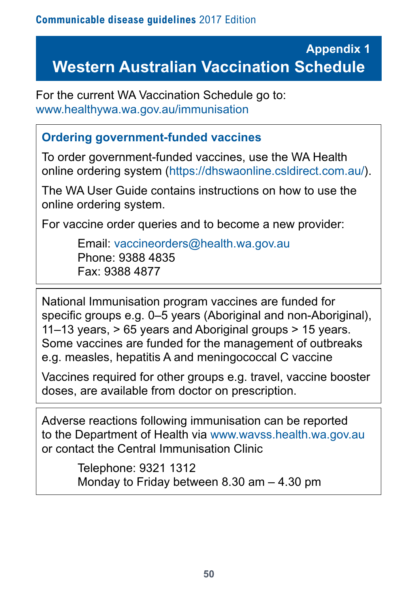# **Appendix 1 Western Australian Vaccination Schedule**

For the current WA Vaccination Schedule go to: [www.healthywa.wa.gov.au/immunisation](http://www.healthywa.wa.gov.au/immunisation)

### **Ordering government-funded vaccines**

To order government-funded vaccines, use the WA Health online ordering system (<https://dhswaonline.csldirect.com.au/>).

The WA User Guide contains instructions on how to use the online ordering system.

For vaccine order queries and to become a new provider:

Email: [vaccineorders@health.wa.gov.au](mailto:vaccineorders%40health.wa.gov.au?subject=) Phone: 9388 4835 Fax: 9388 4877

National Immunisation program vaccines are funded for specific groups e.g. 0–5 years (Aboriginal and non-Aboriginal), 11–13 years, > 65 years and Aboriginal groups > 15 years. Some vaccines are funded for the management of outbreaks e.g. measles, hepatitis A and meningococcal C vaccine

Vaccines required for other groups e.g. travel, vaccine booster doses, are available from doctor on prescription.

Adverse reactions following immunisation can be reported to the Department of Health via [www.wavss.health.wa.gov.au](http://www.wavss.health.wa.gov.au) or contact the Central Immunisation Clinic

> Telephone: 9321 1312 Monday to Friday between 8.30 am – 4.30 pm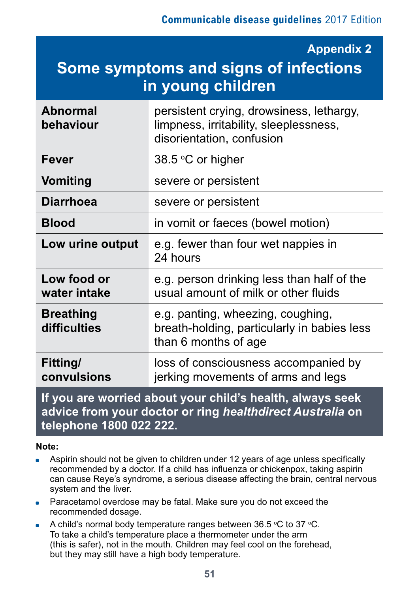#### **Appendix 2**

# **Some symptoms and signs of infections in young children**

| <b>Abnormal</b><br>behaviour                                                                                           | persistent crying, drowsiness, lethargy,<br>limpness, irritability, sleeplessness,<br>disorientation, confusion |  |
|------------------------------------------------------------------------------------------------------------------------|-----------------------------------------------------------------------------------------------------------------|--|
| <b>Fever</b>                                                                                                           | 38.5 °C or higher                                                                                               |  |
| <b>Vomiting</b>                                                                                                        | severe or persistent                                                                                            |  |
| <b>Diarrhoea</b>                                                                                                       | severe or persistent                                                                                            |  |
| <b>Blood</b>                                                                                                           | in vomit or faeces (bowel motion)                                                                               |  |
| Low urine output                                                                                                       | e.g. fewer than four wet nappies in<br>24 hours                                                                 |  |
| Low food or<br>water intake                                                                                            | e.g. person drinking less than half of the<br>usual amount of milk or other fluids                              |  |
| <b>Breathing</b><br>difficulties                                                                                       | e.g. panting, wheezing, coughing,<br>breath-holding, particularly in babies less<br>than 6 months of age        |  |
| Fitting/<br>convulsions                                                                                                | loss of consciousness accompanied by<br>jerking movements of arms and legs                                      |  |
| If you are worried about your child's health, always seek<br>advice from your dector or ring healthdirect Australia on |                                                                                                                 |  |

# **advice from your doctor or ring** *healthdirect Australia* **on telephone 1800 022 222.**

#### **Note:**

- Aspirin should not be given to children under 12 years of age unless specifically recommended by a doctor. If a child has influenza or chickenpox, taking aspirin can cause Reye's syndrome, a serious disease affecting the brain, central nervous system and the liver.
- Paracetamol overdose may be fatal. Make sure you do not exceed the recommended dosage.
- A child's normal body temperature ranges between  $36.5$  °C to  $37$  °C. To take a child's temperature place a thermometer under the arm (this is safer), not in the mouth. Children may feel cool on the forehead, but they may still have a high body temperature.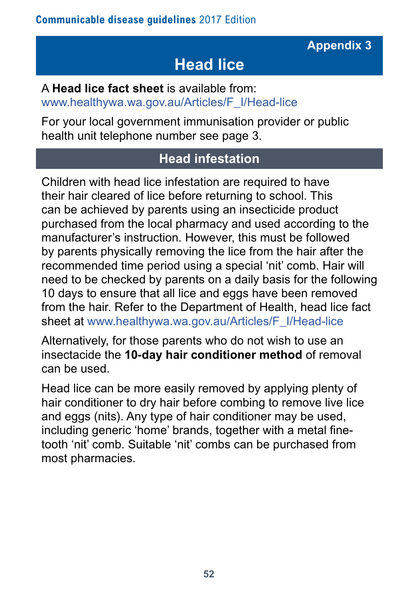# **Head lice**

A **Head lice fact sheet** is available from: [www.healthywa.wa.gov.au/Articles/F\\_I/Head-lice](http://www.healthywa.wa.gov.au/Articles/F_I/Head-lice)

For your local government immunisation provider or public health unit telephone number see page 3.

# **Head infestation**

Children with head lice infestation are required to have their hair cleared of lice before returning to school. This can be achieved by parents using an insecticide product purchased from the local pharmacy and used according to the manufacturer's instruction. However, this must be followed by parents physically removing the lice from the hair after the recommended time period using a special 'nit' comb. Hair will need to be checked by parents on a daily basis for the following 10 days to ensure that all lice and eggs have been removed from the hair. Refer to the Department of Health, head lice fact sheet at [www.healthywa.wa.gov.au/Articles/F\\_I/Head-lice](http://www.healthywa.wa.gov.au/Articles/F_I/Head-lice)

Alternatively, for those parents who do not wish to use an insectacide the **10-day hair conditioner method** of removal can be used.

Head lice can be more easily removed by applying plenty of hair conditioner to dry hair before combing to remove live lice and eggs (nits). Any type of hair conditioner may be used, including generic 'home' brands, together with a metal finetooth 'nit' comb. Suitable 'nit' combs can be purchased from most pharmacies.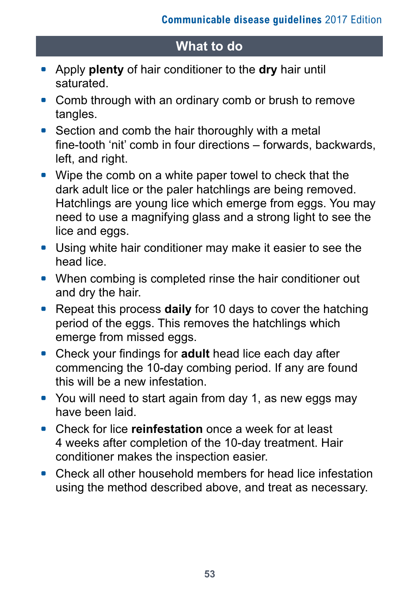# **What to do**

- \* Apply **plenty** of hair conditioner to the **dry** hair until saturated.
- Comb through with an ordinary comb or brush to remove tangles.
- Section and comb the hair thoroughly with a metal fine-tooth 'nit' comb in four directions – forwards, backwards, left, and right.
- Wipe the comb on a white paper towel to check that the dark adult lice or the paler hatchlings are being removed. Hatchlings are young lice which emerge from eggs. You may need to use a magnifying glass and a strong light to see the lice and eggs.
- Using white hair conditioner may make it easier to see the head lice.
- When combing is completed rinse the hair conditioner out and dry the hair.
- Repeat this process **daily** for 10 days to cover the hatching period of the eggs. This removes the hatchlings which emerge from missed eggs.
- \* Check your findings for **adult** head lice each day after commencing the 10-day combing period. If any are found this will be a new infestation.
- You will need to start again from day 1, as new eggs may have been laid.
- \* Check for lice **reinfestation** once a week for at least 4 weeks after completion of the 10-day treatment. Hair conditioner makes the inspection easier.
- Check all other household members for head lice infestation using the method described above, and treat as necessary.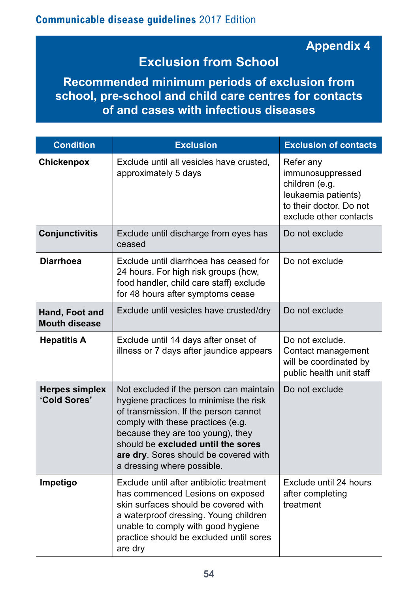## **Appendix 4**

# **Exclusion from School**

**Recommended minimum periods of exclusion from school, pre-school and child care centres for contacts of and cases with infectious diseases**

| <b>Condition</b>                       | <b>Exclusion</b>                                                                                                                                                                                                                                                                                                  | <b>Exclusion of contacts</b>                                                                                                |
|----------------------------------------|-------------------------------------------------------------------------------------------------------------------------------------------------------------------------------------------------------------------------------------------------------------------------------------------------------------------|-----------------------------------------------------------------------------------------------------------------------------|
| Chickenpox                             | Exclude until all vesicles have crusted,<br>approximately 5 days                                                                                                                                                                                                                                                  | Refer any<br>immunosuppressed<br>children (e.g.<br>leukaemia patients)<br>to their doctor. Do not<br>exclude other contacts |
| <b>Conjunctivitis</b>                  | Exclude until discharge from eyes has<br>ceased                                                                                                                                                                                                                                                                   | Do not exclude                                                                                                              |
| <b>Diarrhoea</b>                       | Exclude until diarrhoea has ceased for<br>24 hours. For high risk groups (hcw,<br>food handler, child care staff) exclude<br>for 48 hours after symptoms cease                                                                                                                                                    | Do not exclude                                                                                                              |
| Hand, Foot and<br><b>Mouth disease</b> | Exclude until vesicles have crusted/dry                                                                                                                                                                                                                                                                           | Do not exclude                                                                                                              |
| <b>Hepatitis A</b>                     | Exclude until 14 days after onset of<br>illness or 7 days after jaundice appears                                                                                                                                                                                                                                  | Do not exclude.<br>Contact management<br>will be coordinated by<br>public health unit staff                                 |
| <b>Herpes simplex</b><br>'Cold Sores'  | Not excluded if the person can maintain<br>hygiene practices to minimise the risk<br>of transmission. If the person cannot<br>comply with these practices (e.g.<br>because they are too young), they<br>should be excluded until the sores<br>are dry. Sores should be covered with<br>a dressing where possible. | Do not exclude                                                                                                              |
| Impetigo                               | Exclude until after antibiotic treatment<br>has commenced Lesions on exposed<br>skin surfaces should be covered with<br>a waterproof dressing. Young children<br>unable to comply with good hygiene<br>practice should be excluded until sores<br>are dry                                                         | Exclude until 24 hours<br>after completing<br>treatment                                                                     |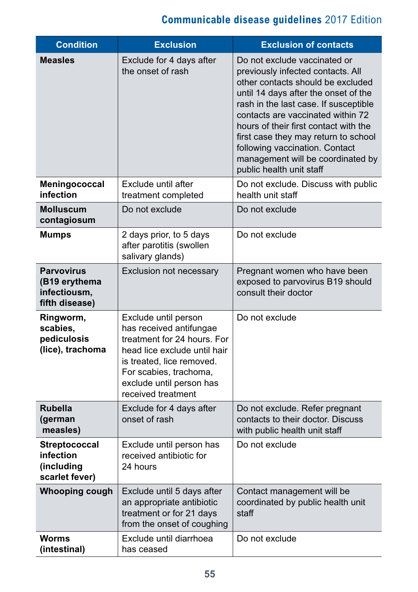| <b>Condition</b>                                                     | <b>Exclusion</b>                                                                                                                                                                                                        | <b>Exclusion of contacts</b>                                                                                                                                                                                                                                                                                                                                                                                     |
|----------------------------------------------------------------------|-------------------------------------------------------------------------------------------------------------------------------------------------------------------------------------------------------------------------|------------------------------------------------------------------------------------------------------------------------------------------------------------------------------------------------------------------------------------------------------------------------------------------------------------------------------------------------------------------------------------------------------------------|
| <b>Measles</b>                                                       | Exclude for 4 days after<br>the onset of rash                                                                                                                                                                           | Do not exclude vaccinated or<br>previously infected contacts. All<br>other contacts should be excluded<br>until 14 days after the onset of the<br>rash in the last case. If susceptible<br>contacts are vaccinated within 72<br>hours of their first contact with the<br>first case they may return to school<br>following vaccination. Contact<br>management will be coordinated by<br>public health unit staff |
| Meningococcal<br>infection                                           | Exclude until after<br>treatment completed                                                                                                                                                                              | Do not exclude. Discuss with public<br>health unit staff                                                                                                                                                                                                                                                                                                                                                         |
| <b>Molluscum</b><br>contagiosum                                      | Do not exclude                                                                                                                                                                                                          | Do not exclude                                                                                                                                                                                                                                                                                                                                                                                                   |
| <b>Mumps</b>                                                         | 2 days prior, to 5 days<br>after parotitis (swollen<br>salivary glands)                                                                                                                                                 | Do not exclude                                                                                                                                                                                                                                                                                                                                                                                                   |
| <b>Parvovirus</b><br>(B19 erythema<br>infectiousm,<br>fifth disease) | Exclusion not necessary                                                                                                                                                                                                 | Pregnant women who have been<br>exposed to parvovirus B19 should<br>consult their doctor                                                                                                                                                                                                                                                                                                                         |
| Ringworm,<br>scabies,<br>pediculosis<br>(lice), trachoma             | Exclude until person<br>has received antifungae<br>treatment for 24 hours. For<br>head lice exclude until hair<br>is treated, lice removed.<br>For scabies, trachoma,<br>exclude until person has<br>received treatment | Do not exclude                                                                                                                                                                                                                                                                                                                                                                                                   |
| <b>Rubella</b><br>(german<br>measles)                                | Exclude for 4 days after<br>onset of rash                                                                                                                                                                               | Do not exclude. Refer pregnant<br>contacts to their doctor. Discuss<br>with public health unit staff                                                                                                                                                                                                                                                                                                             |
| <b>Streptococcal</b><br>infection<br>(including<br>scarlet fever)    | Exclude until person has<br>received antibiotic for<br>24 hours                                                                                                                                                         | Do not exclude                                                                                                                                                                                                                                                                                                                                                                                                   |
| Whooping cough                                                       | Exclude until 5 days after<br>an appropriate antibiotic<br>treatment or for 21 days<br>from the onset of coughing                                                                                                       | Contact management will be<br>coordinated by public health unit<br>staff                                                                                                                                                                                                                                                                                                                                         |
| <b>Worms</b><br>(intestinal)                                         | Exclude until diarrhoea<br>has ceased                                                                                                                                                                                   | Do not exclude                                                                                                                                                                                                                                                                                                                                                                                                   |